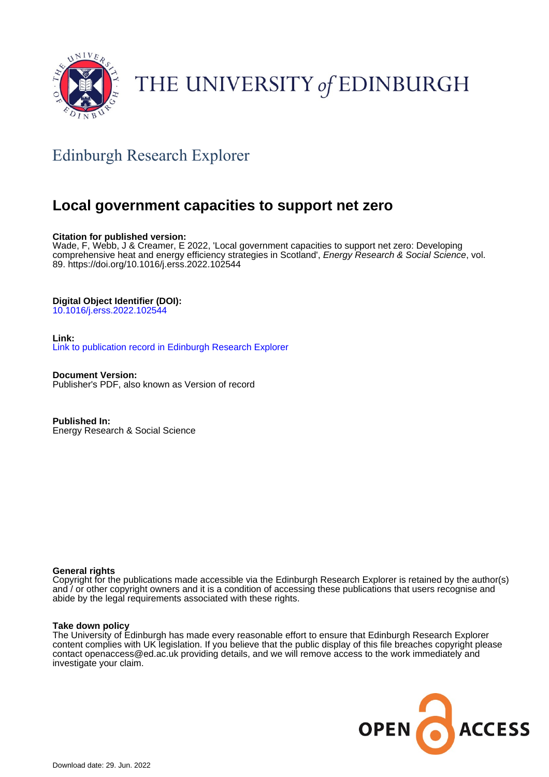

# THE UNIVERSITY of EDINBURGH

# Edinburgh Research Explorer

# **Local government capacities to support net zero**

# **Citation for published version:**

Wade, F, Webb, J & Creamer, E 2022, 'Local government capacities to support net zero: Developing comprehensive heat and energy efficiency strategies in Scotland', Energy Research & Social Science, vol. 89. <https://doi.org/10.1016/j.erss.2022.102544>

# **Digital Object Identifier (DOI):**

[10.1016/j.erss.2022.102544](https://doi.org/10.1016/j.erss.2022.102544)

## **Link:**

[Link to publication record in Edinburgh Research Explorer](https://www.research.ed.ac.uk/en/publications/722fb00f-11be-4b6d-983f-4891a3db7f15)

**Document Version:** Publisher's PDF, also known as Version of record

**Published In:** Energy Research & Social Science

## **General rights**

Copyright for the publications made accessible via the Edinburgh Research Explorer is retained by the author(s) and / or other copyright owners and it is a condition of accessing these publications that users recognise and abide by the legal requirements associated with these rights.

## **Take down policy**

The University of Edinburgh has made every reasonable effort to ensure that Edinburgh Research Explorer content complies with UK legislation. If you believe that the public display of this file breaches copyright please contact openaccess@ed.ac.uk providing details, and we will remove access to the work immediately and investigate your claim.

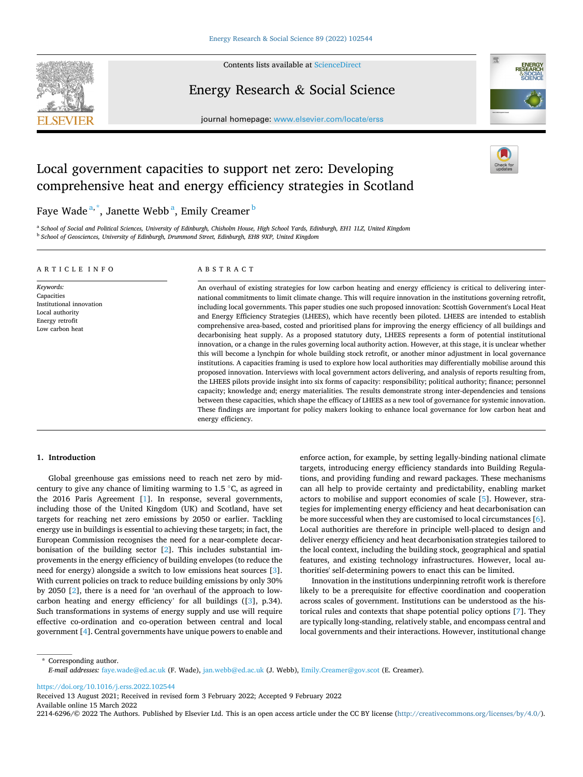

Contents lists available at [ScienceDirect](www.sciencedirect.com/science/journal/22146296)

Energy Research & Social Science





# Local government capacities to support net zero: Developing comprehensive heat and energy efficiency strategies in Scotland

# Faye Wade  $^{\mathrm{a},\mathrm{*}}$ , Janette Webb  $^{\mathrm{a}}$ , Emily Creamer  $^{\mathrm{b}}$

<sup>a</sup> *School of Social and Political Sciences, University of Edinburgh, Chisholm House, High School Yards, Edinburgh, EH1 1LZ, United Kingdom* <sup>b</sup> *School of Geosciences, University of Edinburgh, Drummond Street, Edinburgh, EH8 9XP, United Kingdom* 

#### ARTICLE INFO

*Keywords:*  **Capacities** Institutional innovation Local authority Energy retrofit Low carbon heat

#### ABSTRACT

An overhaul of existing strategies for low carbon heating and energy efficiency is critical to delivering international commitments to limit climate change. This will require innovation in the institutions governing retrofit, including local governments. This paper studies one such proposed innovation: Scottish Government's Local Heat and Energy Efficiency Strategies (LHEES), which have recently been piloted. LHEES are intended to establish comprehensive area-based, costed and prioritised plans for improving the energy efficiency of all buildings and decarbonising heat supply. As a proposed statutory duty, LHEES represents a form of potential institutional innovation, or a change in the rules governing local authority action. However, at this stage, it is unclear whether this will become a lynchpin for whole building stock retrofit, or another minor adjustment in local governance institutions. A capacities framing is used to explore how local authorities may differentially mobilise around this proposed innovation. Interviews with local government actors delivering, and analysis of reports resulting from, the LHEES pilots provide insight into six forms of capacity: responsibility; political authority; finance; personnel capacity; knowledge and; energy materialities. The results demonstrate strong inter-dependencies and tensions between these capacities, which shape the efficacy of LHEES as a new tool of governance for systemic innovation. These findings are important for policy makers looking to enhance local governance for low carbon heat and energy efficiency.

#### **1. Introduction**

Global greenhouse gas emissions need to reach net zero by midcentury to give any chance of limiting warming to 1.5 ◦C, as agreed in the 2016 Paris Agreement [\[1\]](#page-16-0). In response, several governments, including those of the United Kingdom (UK) and Scotland, have set targets for reaching net zero emissions by 2050 or earlier. Tackling energy use in buildings is essential to achieving these targets; in fact, the European Commission recognises the need for a near-complete decarbonisation of the building sector [[2](#page-16-0)]. This includes substantial improvements in the energy efficiency of building envelopes (to reduce the need for energy) alongside a switch to low emissions heat sources [[3](#page-16-0)]. With current policies on track to reduce building emissions by only 30% by 2050 [\[2\]](#page-16-0), there is a need for 'an overhaul of the approach to lowcarbon heating and energy efficiency' for all buildings ([\[3\]](#page-16-0), p.34). Such transformations in systems of energy supply and use will require effective co-ordination and co-operation between central and local government [[4](#page-16-0)]. Central governments have unique powers to enable and

enforce action, for example, by setting legally-binding national climate targets, introducing energy efficiency standards into Building Regulations, and providing funding and reward packages. These mechanisms can all help to provide certainty and predictability, enabling market actors to mobilise and support economies of scale [\[5\]](#page-16-0). However, strategies for implementing energy efficiency and heat decarbonisation can be more successful when they are customised to local circumstances [[6](#page-16-0)]. Local authorities are therefore in principle well-placed to design and deliver energy efficiency and heat decarbonisation strategies tailored to the local context, including the building stock, geographical and spatial features, and existing technology infrastructures. However, local authorities' self-determining powers to enact this can be limited.

Innovation in the institutions underpinning retrofit work is therefore likely to be a prerequisite for effective coordination and cooperation across scales of government. Institutions can be understood as the historical rules and contexts that shape potential policy options [[7](#page-16-0)]. They are typically long-standing, relatively stable, and encompass central and local governments and their interactions. However, institutional change

\* Corresponding author. *E-mail addresses:* [faye.wade@ed.ac.uk](mailto:faye.wade@ed.ac.uk) (F. Wade), [jan.webb@ed.ac.uk](mailto:jan.webb@ed.ac.uk) (J. Webb), [Emily.Creamer@gov.scot](mailto:Emily.Creamer@gov.scot) (E. Creamer).

<https://doi.org/10.1016/j.erss.2022.102544>

Available online 15 March 2022 2214-6296/© 2022 The Authors. Published by Elsevier Ltd. This is an open access article under the CC BY license [\(http://creativecommons.org/licenses/by/4.0/\)](http://creativecommons.org/licenses/by/4.0/). Received 13 August 2021; Received in revised form 3 February 2022; Accepted 9 February 2022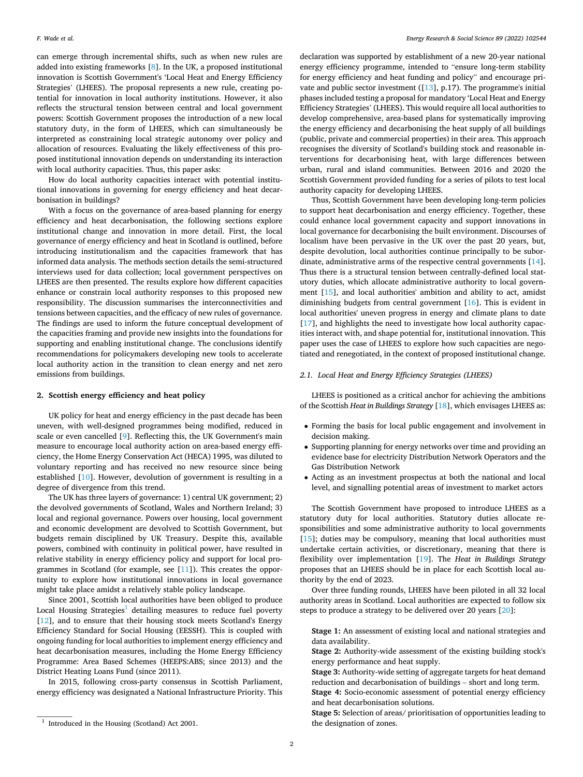<span id="page-2-0"></span>can emerge through incremental shifts, such as when new rules are added into existing frameworks [\[8\]](#page-16-0). In the UK, a proposed institutional innovation is Scottish Government's 'Local Heat and Energy Efficiency Strategies' (LHEES). The proposal represents a new rule, creating potential for innovation in local authority institutions. However, it also reflects the structural tension between central and local government powers: Scottish Government proposes the introduction of a new local statutory duty, in the form of LHEES, which can simultaneously be interpreted as constraining local strategic autonomy over policy and allocation of resources. Evaluating the likely effectiveness of this proposed institutional innovation depends on understanding its interaction with local authority capacities. Thus, this paper asks:

How do local authority capacities interact with potential institutional innovations in governing for energy efficiency and heat decarbonisation in buildings?

With a focus on the governance of area-based planning for energy efficiency and heat decarbonisation, the following sections explore institutional change and innovation in more detail. First, the local governance of energy efficiency and heat in Scotland is outlined, before introducing institutionalism and the capacities framework that has informed data analysis. The methods section details the semi-structured interviews used for data collection; local government perspectives on LHEES are then presented. The results explore how different capacities enhance or constrain local authority responses to this proposed new responsibility. The discussion summarises the interconnectivities and tensions between capacities, and the efficacy of new rules of governance. The findings are used to inform the future conceptual development of the capacities framing and provide new insights into the foundations for supporting and enabling institutional change. The conclusions identify recommendations for policymakers developing new tools to accelerate local authority action in the transition to clean energy and net zero emissions from buildings.

#### **2. Scottish energy efficiency and heat policy**

UK policy for heat and energy efficiency in the past decade has been uneven, with well-designed programmes being modified, reduced in scale or even cancelled [\[9\]](#page-16-0). Reflecting this, the UK Government's main measure to encourage local authority action on area-based energy efficiency, the Home Energy Conservation Act (HECA) 1995, was diluted to voluntary reporting and has received no new resource since being established [\[10\]](#page-16-0). However, devolution of government is resulting in a degree of divergence from this trend.

The UK has three layers of governance: 1) central UK government; 2) the devolved governments of Scotland, Wales and Northern Ireland; 3) local and regional governance. Powers over housing, local government and economic development are devolved to Scottish Government, but budgets remain disciplined by UK Treasury. Despite this, available powers, combined with continuity in political power, have resulted in relative stability in energy efficiency policy and support for local programmes in Scotland (for example, see [[11\]](#page-16-0)). This creates the opportunity to explore how institutional innovations in local governance might take place amidst a relatively stable policy landscape.

Since 2001, Scottish local authorities have been obliged to produce Local Housing Strategies<sup>1</sup> detailing measures to reduce fuel poverty [[12\]](#page-16-0), and to ensure that their housing stock meets Scotland's Energy Efficiency Standard for Social Housing (EESSH). This is coupled with ongoing funding for local authorities to implement energy efficiency and heat decarbonisation measures, including the Home Energy Efficiency Programme: Area Based Schemes (HEEPS:ABS; since 2013) and the District Heating Loans Fund (since 2011).

In 2015, following cross-party consensus in Scottish Parliament, energy efficiency was designated a National Infrastructure Priority. This

declaration was supported by establishment of a new 20-year national energy efficiency programme, intended to "ensure long-term stability for energy efficiency and heat funding and policy" and encourage private and public sector investment  $([13], p.17)$  $([13], p.17)$  $([13], p.17)$ . The programme's initial phases included testing a proposal for mandatory 'Local Heat and Energy Efficiency Strategies' (LHEES). This would require all local authorities to develop comprehensive, area-based plans for systematically improving the energy efficiency and decarbonising the heat supply of all buildings (public, private and commercial properties) in their area. This approach recognises the diversity of Scotland's building stock and reasonable interventions for decarbonising heat, with large differences between urban, rural and island communities. Between 2016 and 2020 the Scottish Government provided funding for a series of pilots to test local authority capacity for developing LHEES.

Thus, Scottish Government have been developing long-term policies to support heat decarbonisation and energy efficiency. Together, these could enhance local government capacity and support innovations in local governance for decarbonising the built environment. Discourses of localism have been pervasive in the UK over the past 20 years, but, despite devolution, local authorities continue principally to be subordinate, administrative arms of the respective central governments [\[14](#page-16-0)]. Thus there is a structural tension between centrally-defined local statutory duties, which allocate administrative authority to local government [\[15](#page-16-0)], and local authorities' ambition and ability to act, amidst diminishing budgets from central government [[16\]](#page-16-0). This is evident in local authorities' uneven progress in energy and climate plans to date [[17\]](#page-16-0), and highlights the need to investigate how local authority capacities interact with, and shape potential for, institutional innovation. This paper uses the case of LHEES to explore how such capacities are negotiated and renegotiated, in the context of proposed institutional change.

#### *2.1. Local Heat and Energy Efficiency Strategies (LHEES)*

LHEES is positioned as a critical anchor for achieving the ambitions of the Scottish *Heat in Buildings Strategy* [[18\]](#page-16-0), which envisages LHEES as:

- Forming the basis for local public engagement and involvement in decision making.
- Supporting planning for energy networks over time and providing an evidence base for electricity Distribution Network Operators and the Gas Distribution Network
- Acting as an investment prospectus at both the national and local level, and signalling potential areas of investment to market actors

The Scottish Government have proposed to introduce LHEES as a statutory duty for local authorities. Statutory duties allocate responsibilities and some administrative authority to local governments [[15\]](#page-16-0); duties may be compulsory, meaning that local authorities must undertake certain activities, or discretionary, meaning that there is flexibility over implementation [\[19](#page-16-0)]. The *Heat in Buildings Strategy*  proposes that an LHEES should be in place for each Scottish local authority by the end of 2023.

Over three funding rounds, LHEES have been piloted in all 32 local authority areas in Scotland. Local authorities are expected to follow six steps to produce a strategy to be delivered over 20 years [[20\]](#page-16-0):

**Stage 1:** An assessment of existing local and national strategies and data availability.

**Stage 2:** Authority-wide assessment of the existing building stock's energy performance and heat supply.

**Stage 3:** Authority-wide setting of aggregate targets for heat demand reduction and decarbonisation of buildings – short and long term. **Stage 4:** Socio-economic assessment of potential energy efficiency

and heat decarbonisation solutions.

**Stage 5:** Selection of areas/ prioritisation of opportunities leading to

<sup>&</sup>lt;sup>1</sup> Introduced in the Housing (Scotland) Act 2001. The designation of zones.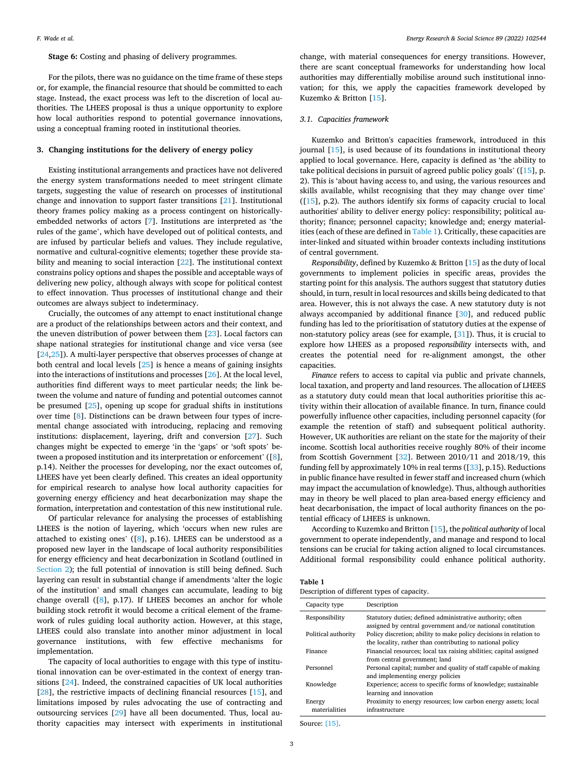#### **Stage 6:** Costing and phasing of delivery programmes.

For the pilots, there was no guidance on the time frame of these steps or, for example, the financial resource that should be committed to each stage. Instead, the exact process was left to the discretion of local authorities. The LHEES proposal is thus a unique opportunity to explore how local authorities respond to potential governance innovations, using a conceptual framing rooted in institutional theories.

#### **3. Changing institutions for the delivery of energy policy**

Existing institutional arrangements and practices have not delivered the energy system transformations needed to meet stringent climate targets, suggesting the value of research on processes of institutional change and innovation to support faster transitions [\[21](#page-16-0)]. Institutional theory frames policy making as a process contingent on historicallyembedded networks of actors [\[7\]](#page-16-0). Institutions are interpreted as 'the rules of the game', which have developed out of political contests, and are infused by particular beliefs and values. They include regulative, normative and cultural-cognitive elements; together these provide stability and meaning to social interaction [\[22](#page-16-0)]. The institutional context constrains policy options and shapes the possible and acceptable ways of delivering new policy, although always with scope for political contest to effect innovation. Thus processes of institutional change and their outcomes are always subject to indeterminacy.

Crucially, the outcomes of any attempt to enact institutional change are a product of the relationships between actors and their context, and the uneven distribution of power between them [\[23](#page-16-0)]. Local factors can shape national strategies for institutional change and vice versa (see [[24,25](#page-17-0)]). A multi-layer perspective that observes processes of change at both central and local levels [[25\]](#page-17-0) is hence a means of gaining insights into the interactions of institutions and processes [\[26](#page-17-0)]. At the local level, authorities find different ways to meet particular needs; the link between the volume and nature of funding and potential outcomes cannot be presumed [[25\]](#page-17-0), opening up scope for gradual shifts in institutions over time [\[8\]](#page-16-0). Distinctions can be drawn between four types of incremental change associated with introducing, replacing and removing institutions: displacement, layering, drift and conversion [\[27](#page-17-0)]. Such changes might be expected to emerge 'in the 'gaps' or 'soft spots' between a proposed institution and its interpretation or enforcement' ([[8](#page-16-0)], p.14). Neither the processes for developing, nor the exact outcomes of, LHEES have yet been clearly defined. This creates an ideal opportunity for empirical research to analyse how local authority capacities for governing energy efficiency and heat decarbonization may shape the formation, interpretation and contestation of this new institutional rule.

Of particular relevance for analysing the processes of establishing LHEES is the notion of layering, which 'occurs when new rules are attached to existing ones' ( $[8]$ , p.16). LHEES can be understood as a proposed new layer in the landscape of local authority responsibilities for energy efficiency and heat decarbonization in Scotland (outlined in [Section 2\)](#page-2-0); the full potential of innovation is still being defined. Such layering can result in substantial change if amendments 'alter the logic of the institution' and small changes can accumulate, leading to big change overall  $([8]$  $([8]$ , p.17). If LHEES becomes an anchor for whole building stock retrofit it would become a critical element of the framework of rules guiding local authority action. However, at this stage, LHEES could also translate into another minor adjustment in local governance institutions, with few effective mechanisms for implementation.

The capacity of local authorities to engage with this type of institutional innovation can be over-estimated in the context of energy transitions [[24](#page-17-0)]. Indeed, the constrained capacities of UK local authorities [[28\]](#page-17-0), the restrictive impacts of declining financial resources [\[15](#page-16-0)], and limitations imposed by rules advocating the use of contracting and outsourcing services [\[29](#page-17-0)] have all been documented. Thus, local authority capacities may intersect with experiments in institutional

change, with material consequences for energy transitions. However, there are scant conceptual frameworks for understanding how local authorities may differentially mobilise around such institutional innovation; for this, we apply the capacities framework developed by Kuzemko & Britton [[15\]](#page-16-0).

#### *3.1. Capacities framework*

Kuzemko and Britton's capacities framework, introduced in this journal [\[15](#page-16-0)], is used because of its foundations in institutional theory applied to local governance. Here, capacity is defined as 'the ability to take political decisions in pursuit of agreed public policy goals' ([[15](#page-16-0)], p. 2). This is 'about having access to, and using, the various resources and skills available, whilst recognising that they may change over time' ([[15\]](#page-16-0), p.2). The authors identify six forms of capacity crucial to local authorities' ability to deliver energy policy: responsibility; political authority; finance; personnel capacity; knowledge and; energy materialities (each of these are defined in Table 1). Critically, these capacities are inter-linked and situated within broader contexts including institutions of central government.

*Responsibility*, defined by Kuzemko & Britton [\[15](#page-16-0)] as the duty of local governments to implement policies in specific areas, provides the starting point for this analysis. The authors suggest that statutory duties should, in turn, result in local resources and skills being dedicated to that area. However, this is not always the case. A new statutory duty is not always accompanied by additional finance [[30\]](#page-17-0), and reduced public funding has led to the prioritisation of statutory duties at the expense of non-statutory policy areas (see for example, [\[31](#page-17-0)]). Thus, it is crucial to explore how LHEES as a proposed *responsibility* intersects with, and creates the potential need for re-alignment amongst, the other capacities.

*Finance* refers to access to capital via public and private channels, local taxation, and property and land resources. The allocation of LHEES as a statutory duty could mean that local authorities prioritise this activity within their allocation of available finance. In turn, finance could powerfully influence other capacities, including personnel capacity (for example the retention of staff) and subsequent political authority. However, UK authorities are reliant on the state for the majority of their income. Scottish local authorities receive roughly 80% of their income from Scottish Government [[32\]](#page-17-0). Between 2010/11 and 2018/19, this funding fell by approximately 10% in real terms ([[33\]](#page-17-0), p.15). Reductions in public finance have resulted in fewer staff and increased churn (which may impact the accumulation of knowledge). Thus, although authorities may in theory be well placed to plan area-based energy efficiency and heat decarbonisation, the impact of local authority finances on the potential efficacy of LHEES is unknown.

According to Kuzemko and Britton [\[15](#page-16-0)], the *political authority* of local government to operate independently, and manage and respond to local tensions can be crucial for taking action aligned to local circumstances. Additional formal responsibility could enhance political authority.

**Table 1** 

| Description of different types of capacity. |  |  |  |  |  |
|---------------------------------------------|--|--|--|--|--|
|---------------------------------------------|--|--|--|--|--|

| Capacity type           | Description                                                                                                                     |
|-------------------------|---------------------------------------------------------------------------------------------------------------------------------|
| Responsibility          | Statutory duties; defined administrative authority; often<br>assigned by central government and/or national constitution        |
| Political authority     | Policy discretion; ability to make policy decisions in relation to<br>the locality, rather than contributing to national policy |
| Finance                 | Financial resources; local tax raising abilities; capital assigned<br>from central government; land                             |
| Personnel               | Personal capital; number and quality of staff capable of making<br>and implementing energy policies                             |
| Knowledge               | Experience; access to specific forms of knowledge; sustainable<br>learning and innovation                                       |
| Energy<br>materialities | Proximity to energy resources; low carbon energy assets; local<br>infrastructure                                                |

Source: [\[15\]](#page-16-0).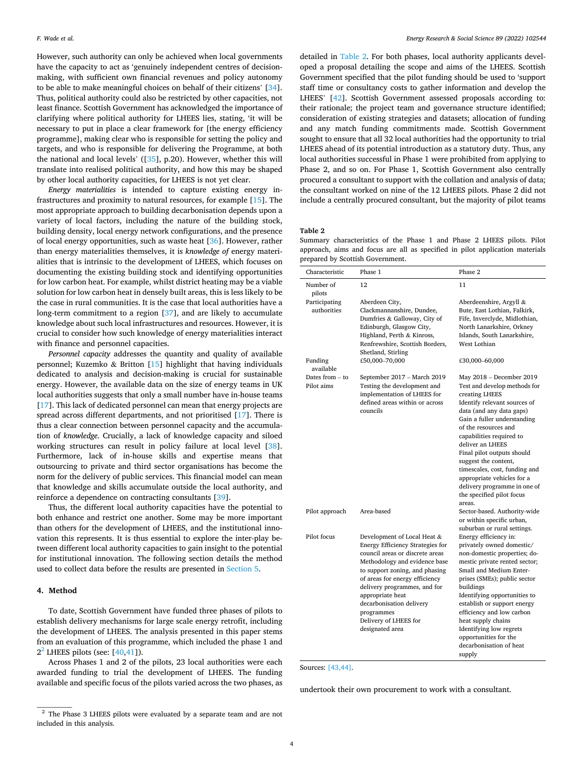However, such authority can only be achieved when local governments have the capacity to act as 'genuinely independent centres of decisionmaking, with sufficient own financial revenues and policy autonomy to be able to make meaningful choices on behalf of their citizens' [\[34](#page-17-0)]. Thus, political authority could also be restricted by other capacities, not least finance. Scottish Government has acknowledged the importance of clarifying where political authority for LHEES lies, stating, 'it will be necessary to put in place a clear framework for [the energy efficiency programme], making clear who is responsible for setting the policy and targets, and who is responsible for delivering the Programme, at both the national and local levels' ([\[35](#page-17-0)], p.20). However, whether this will translate into realised political authority, and how this may be shaped by other local authority capacities, for LHEES is not yet clear.

*Energy materialities* is intended to capture existing energy infrastructures and proximity to natural resources, for example [[15\]](#page-16-0). The most appropriate approach to building decarbonisation depends upon a variety of local factors, including the nature of the building stock, building density, local energy network configurations, and the presence of local energy opportunities, such as waste heat [\[36](#page-17-0)]. However, rather than energy materialities themselves, it is *knowledge of* energy materialities that is intrinsic to the development of LHEES, which focuses on documenting the existing building stock and identifying opportunities for low carbon heat. For example, whilst district heating may be a viable solution for low carbon heat in densely built areas, this is less likely to be the case in rural communities. It is the case that local authorities have a long-term commitment to a region [\[37](#page-17-0)], and are likely to accumulate knowledge about such local infrastructures and resources. However, it is crucial to consider how such knowledge of energy materialities interact with finance and personnel capacities.

*Personnel capacity* addresses the quantity and quality of available personnel; Kuzemko & Britton [\[15](#page-16-0)] highlight that having individuals dedicated to analysis and decision-making is crucial for sustainable energy. However, the available data on the size of energy teams in UK local authorities suggests that only a small number have in-house teams [[17\]](#page-16-0). This lack of dedicated personnel can mean that energy projects are spread across different departments, and not prioritised [[17\]](#page-16-0). There is thus a clear connection between personnel capacity and the accumulation of *knowledge*. Crucially, a lack of knowledge capacity and siloed working structures can result in policy failure at local level [\[38](#page-17-0)]. Furthermore, lack of in-house skills and expertise means that outsourcing to private and third sector organisations has become the norm for the delivery of public services. This financial model can mean that knowledge and skills accumulate outside the local authority, and reinforce a dependence on contracting consultants [\[39](#page-17-0)].

Thus, the different local authority capacities have the potential to both enhance and restrict one another. Some may be more important than others for the development of LHEES, and the institutional innovation this represents. It is thus essential to explore the inter-play between different local authority capacities to gain insight to the potential for institutional innovation. The following section details the method used to collect data before the results are presented in [Section 5](#page-5-0).

#### **4. Method**

To date, Scottish Government have funded three phases of pilots to establish delivery mechanisms for large scale energy retrofit, including the development of LHEES. The analysis presented in this paper stems from an evaluation of this programme, which included the phase 1 and  $2<sup>2</sup>$  LHEES pilots (see:  $[40, 41]$ ).

Across Phases 1 and 2 of the pilots, 23 local authorities were each awarded funding to trial the development of LHEES. The funding available and specific focus of the pilots varied across the two phases, as

detailed in Table 2. For both phases, local authority applicants developed a proposal detailing the scope and aims of the LHEES. Scottish Government specified that the pilot funding should be used to 'support staff time or consultancy costs to gather information and develop the LHEES' [\[42](#page-17-0)]. Scottish Government assessed proposals according to: their rationale; the project team and governance structure identified; consideration of existing strategies and datasets; allocation of funding and any match funding commitments made. Scottish Government sought to ensure that all 32 local authorities had the opportunity to trial LHEES ahead of its potential introduction as a statutory duty. Thus, any local authorities successful in Phase 1 were prohibited from applying to Phase 2, and so on. For Phase 1, Scottish Government also centrally procured a consultant to support with the collation and analysis of data; the consultant worked on nine of the 12 LHEES pilots. Phase 2 did not include a centrally procured consultant, but the majority of pilot teams

#### **Table 2**

Summary characteristics of the Phase 1 and Phase 2 LHEES pilots. Pilot approach, aims and focus are all as specified in pilot application materials prepared by Scottish Government.

| Characteristic                | Phase 1                                                                                                                                                                                                                                                                                                                                           | Phase 2                                                                                                                                                                                                                                                                                                                                                                                                                                   |
|-------------------------------|---------------------------------------------------------------------------------------------------------------------------------------------------------------------------------------------------------------------------------------------------------------------------------------------------------------------------------------------------|-------------------------------------------------------------------------------------------------------------------------------------------------------------------------------------------------------------------------------------------------------------------------------------------------------------------------------------------------------------------------------------------------------------------------------------------|
| Number of<br>pilots           | 12                                                                                                                                                                                                                                                                                                                                                | 11                                                                                                                                                                                                                                                                                                                                                                                                                                        |
| Participating<br>authorities  | Aberdeen City,<br>Clackmannanshire, Dundee,<br>Dumfries & Galloway, City of<br>Edinburgh, Glasgow City,<br>Highland, Perth & Kinross,<br>Renfrewshire, Scottish Borders,<br>Shetland, Stirling                                                                                                                                                    | Aberdeenshire, Argyll &<br>Bute, East Lothian, Falkirk,<br>Fife, Inverclyde, Midlothian,<br>North Lanarkshire, Orkney<br>Islands, South Lanarkshire,<br>West Lothian                                                                                                                                                                                                                                                                      |
| Funding<br>available          | £50,000-70,000                                                                                                                                                                                                                                                                                                                                    | £30,000-60,000                                                                                                                                                                                                                                                                                                                                                                                                                            |
| Dates from - to<br>Pilot aims | September 2017 - March 2019<br>Testing the development and<br>implementation of LHEES for<br>defined areas within or across<br>councils                                                                                                                                                                                                           | May 2018 - December 2019<br>Test and develop methods for<br>creating LHEES<br>Identify relevant sources of<br>data (and any data gaps)<br>Gain a fuller understanding<br>of the resources and<br>capabilities required to<br>deliver an LHEES<br>Final pilot outputs should<br>suggest the content,<br>timescales, cost, funding and<br>appropriate vehicles for a<br>delivery programme in one of<br>the specified pilot focus<br>areas. |
| Pilot approach                | Area-based                                                                                                                                                                                                                                                                                                                                        | Sector-based. Authority-wide<br>or within specific urban,<br>suburban or rural settings.                                                                                                                                                                                                                                                                                                                                                  |
| Pilot focus                   | Development of Local Heat &<br>Energy Efficiency Strategies for<br>council areas or discrete areas<br>Methodology and evidence base<br>to support zoning, and phasing<br>of areas for energy efficiency<br>delivery programmes, and for<br>appropriate heat<br>decarbonisation delivery<br>programmes<br>Delivery of LHEES for<br>designated area | Energy efficiency in:<br>privately owned domestic/<br>non-domestic properties; do-<br>mestic private rented sector;<br>Small and Medium Enter-<br>prises (SMEs); public sector<br>buildings<br>Identifying opportunities to<br>establish or support energy<br>efficiency and low carbon<br>heat supply chains<br>Identifying low regrets<br>opportunities for the<br>decarbonisation of heat<br>supply                                    |

Sources: [\[43,44\]](#page-17-0).

undertook their own procurement to work with a consultant.

<sup>2</sup> The Phase 3 LHEES pilots were evaluated by a separate team and are not included in this analysis.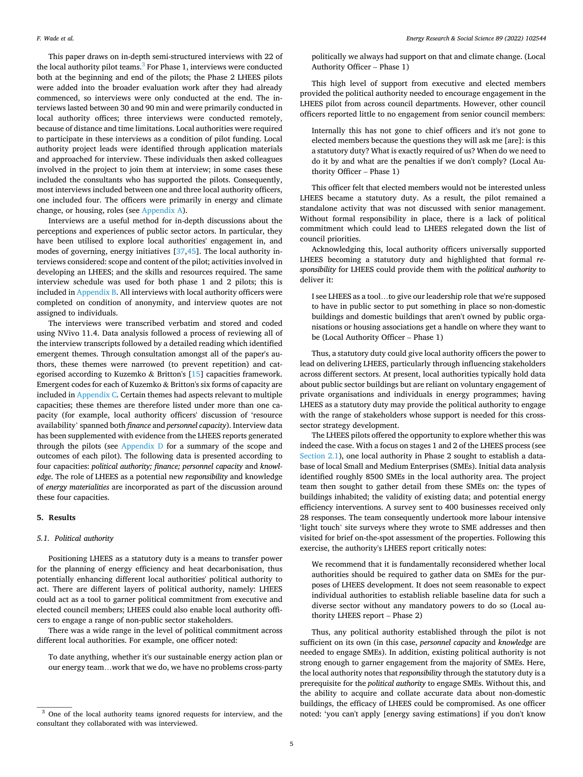<span id="page-5-0"></span>This paper draws on in-depth semi-structured interviews with 22 of the local authority pilot teams. $3$  For Phase 1, interviews were conducted both at the beginning and end of the pilots; the Phase 2 LHEES pilots were added into the broader evaluation work after they had already commenced, so interviews were only conducted at the end. The interviews lasted between 30 and 90 min and were primarily conducted in local authority offices; three interviews were conducted remotely, because of distance and time limitations. Local authorities were required to participate in these interviews as a condition of pilot funding. Local authority project leads were identified through application materials and approached for interview. These individuals then asked colleagues involved in the project to join them at interview; in some cases these included the consultants who has supported the pilots. Consequently, most interviews included between one and three local authority officers, one included four. The officers were primarily in energy and climate change, or housing, roles (see [Appendix A\)](#page-9-0).

Interviews are a useful method for in-depth discussions about the perceptions and experiences of public sector actors. In particular, they have been utilised to explore local authorities' engagement in, and modes of governing, energy initiatives [\[37,45](#page-17-0)]. The local authority interviews considered: scope and content of the pilot; activities involved in developing an LHEES; and the skills and resources required. The same interview schedule was used for both phase 1 and 2 pilots; this is included in [Appendix B.](#page-10-0) All interviews with local authority officers were completed on condition of anonymity, and interview quotes are not assigned to individuals.

The interviews were transcribed verbatim and stored and coded using NVivo 11.4. Data analysis followed a process of reviewing all of the interview transcripts followed by a detailed reading which identified emergent themes. Through consultation amongst all of the paper's authors, these themes were narrowed (to prevent repetition) and categorised according to Kuzemko & Britton's [[15\]](#page-16-0) capacities framework. Emergent codes for each of Kuzemko & Britton's six forms of capacity are included in [Appendix C](#page-11-0). Certain themes had aspects relevant to multiple capacities; these themes are therefore listed under more than one capacity (for example, local authority officers' discussion of 'resource availability' spanned both *finance* and *personnel capacity*). Interview data has been supplemented with evidence from the LHEES reports generated through the pilots (see [Appendix D](#page-12-0) for a summary of the scope and outcomes of each pilot). The following data is presented according to four capacities: *political authority; finance; personnel capacity* and *knowledge*. The role of LHEES as a potential new *responsibility* and knowledge of *energy materialities* are incorporated as part of the discussion around these four capacities.

#### **5. Results**

#### *5.1. Political authority*

Positioning LHEES as a statutory duty is a means to transfer power for the planning of energy efficiency and heat decarbonisation, thus potentially enhancing different local authorities' political authority to act. There are different layers of political authority, namely: LHEES could act as a tool to garner political commitment from executive and elected council members; LHEES could also enable local authority officers to engage a range of non-public sector stakeholders.

There was a wide range in the level of political commitment across different local authorities. For example, one officer noted:

To date anything, whether it's our sustainable energy action plan or our energy team…work that we do, we have no problems cross-party politically we always had support on that and climate change. (Local Authority Officer – Phase 1)

This high level of support from executive and elected members provided the political authority needed to encourage engagement in the LHEES pilot from across council departments. However, other council officers reported little to no engagement from senior council members:

Internally this has not gone to chief officers and it's not gone to elected members because the questions they will ask me [are]: is this a statutory duty? What is exactly required of us? When do we need to do it by and what are the penalties if we don't comply? (Local Authority Officer – Phase 1)

This officer felt that elected members would not be interested unless LHEES became a statutory duty. As a result, the pilot remained a standalone activity that was not discussed with senior management. Without formal responsibility in place, there is a lack of political commitment which could lead to LHEES relegated down the list of council priorities.

Acknowledging this, local authority officers universally supported LHEES becoming a statutory duty and highlighted that formal *responsibility* for LHEES could provide them with the *political authority* to deliver it:

I see LHEES as a tool…to give our leadership role that we're supposed to have in public sector to put something in place so non-domestic buildings and domestic buildings that aren't owned by public organisations or housing associations get a handle on where they want to be (Local Authority Officer – Phase 1)

Thus, a statutory duty could give local authority officers the power to lead on delivering LHEES, particularly through influencing stakeholders across different sectors. At present, local authorities typically hold data about public sector buildings but are reliant on voluntary engagement of private organisations and individuals in energy programmes; having LHEES as a statutory duty may provide the political authority to engage with the range of stakeholders whose support is needed for this crosssector strategy development.

The LHEES pilots offered the opportunity to explore whether this was indeed the case. With a focus on stages 1 and 2 of the LHEES process (see [Section 2.1](#page-2-0)), one local authority in Phase 2 sought to establish a database of local Small and Medium Enterprises (SMEs). Initial data analysis identified roughly 8500 SMEs in the local authority area. The project team then sought to gather detail from these SMEs on: the types of buildings inhabited; the validity of existing data; and potential energy efficiency interventions. A survey sent to 400 businesses received only 28 responses. The team consequently undertook more labour intensive 'light touch' site surveys where they wrote to SME addresses and then visited for brief on-the-spot assessment of the properties. Following this exercise, the authority's LHEES report critically notes:

We recommend that it is fundamentally reconsidered whether local authorities should be required to gather data on SMEs for the purposes of LHEES development. It does not seem reasonable to expect individual authorities to establish reliable baseline data for such a diverse sector without any mandatory powers to do so (Local authority LHEES report – Phase 2)

Thus, any political authority established through the pilot is not sufficient on its own (in this case, *personnel capacity* and *knowledge* are needed to engage SMEs). In addition, existing political authority is not strong enough to garner engagement from the majority of SMEs. Here, the local authority notes that *responsibility* through the statutory duty is a prerequisite for the *political authority* to engage SMEs. Without this, and the ability to acquire and collate accurate data about non-domestic buildings, the efficacy of LHEES could be compromised. As one officer <sup>3</sup> One of the local authority teams ignored requests for interview, and the noted: 'you can't apply [energy saving estimations] if you don't know

consultant they collaborated with was interviewed.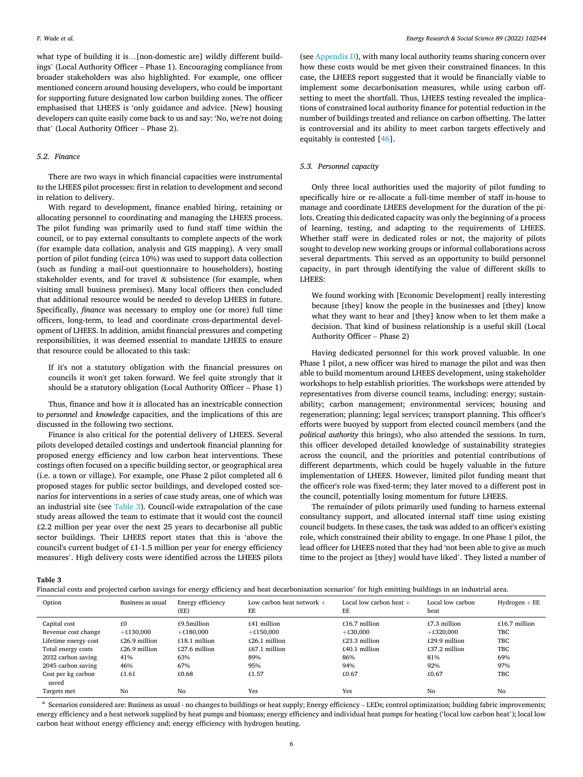what type of building it is... [non-domestic are] wildly different buildings' (Local Authority Officer – Phase 1). Encouraging compliance from broader stakeholders was also highlighted. For example, one officer mentioned concern around housing developers, who could be important for supporting future designated low carbon building zones. The officer emphasised that LHEES is 'only guidance and advice. [New] housing developers can quite easily come back to us and say: 'No, we're not doing that' (Local Authority Officer – Phase 2).

#### *5.2. Finance*

There are two ways in which financial capacities were instrumental to the LHEES pilot processes: first in relation to development and second in relation to delivery.

With regard to development, finance enabled hiring, retaining or allocating personnel to coordinating and managing the LHEES process. The pilot funding was primarily used to fund staff time within the council, or to pay external consultants to complete aspects of the work (for example data collation, analysis and GIS mapping). A very small portion of pilot funding (circa 10%) was used to support data collection (such as funding a mail-out questionnaire to householders), hosting stakeholder events, and for travel  $\&$  subsistence (for example, when visiting small business premises). Many local officers then concluded that additional resource would be needed to develop LHEES in future. Specifically, *finance* was necessary to employ one (or more) full time officers, long-term, to lead and coordinate cross-departmental development of LHEES. In addition, amidst financial pressures and competing responsibilities, it was deemed essential to mandate LHEES to ensure that resource could be allocated to this task:

If it's not a statutory obligation with the financial pressures on councils it won't get taken forward. We feel quite strongly that it should be a statutory obligation (Local Authority Officer – Phase 1)

Thus, finance and how it is allocated has an inextricable connection to *personnel* and *knowledge* capacities, and the implications of this are discussed in the following two sections.

Finance is also critical for the potential delivery of LHEES. Several pilots developed detailed costings and undertook financial planning for proposed energy efficiency and low carbon heat interventions. These costings often focused on a specific building sector, or geographical area (i.e. a town or village). For example, one Phase 2 pilot completed all 6 proposed stages for public sector buildings, and developed costed scenarios for interventions in a series of case study areas, one of which was an industrial site (see Table 3). Council-wide extrapolation of the case study areas allowed the team to estimate that it would cost the council £2.2 million per year over the next 25 years to decarbonise all public sector buildings. Their LHEES report states that this is 'above the council's current budget of £1-1.5 million per year for energy efficiency measures'. High delivery costs were identified across the LHEES pilots

(see [Appendix D](#page-12-0)), with many local authority teams sharing concern over how these costs would be met given their constrained finances. In this case, the LHEES report suggested that it would be financially viable to implement some decarbonisation measures, while using carbon offsetting to meet the shortfall. Thus, LHEES testing revealed the implications of constrained local authority finance for potential reduction in the number of buildings treated and reliance on carbon offsetting. The latter is controversial and its ability to meet carbon targets effectively and equitably is contested [\[46](#page-17-0)].

#### *5.3. Personnel capacity*

Only three local authorities used the majority of pilot funding to specifically hire or re-allocate a full-time member of staff in-house to manage and coordinate LHEES development for the duration of the pilots. Creating this dedicated capacity was only the beginning of a process of learning, testing, and adapting to the requirements of LHEES. Whether staff were in dedicated roles or not, the majority of pilots sought to develop new working groups or informal collaborations across several departments. This served as an opportunity to build personnel capacity, in part through identifying the value of different skills to LHEES:

We found working with [Economic Development] really interesting because [they] know the people in the businesses and [they] know what they want to hear and [they] know when to let them make a decision. That kind of business relationship is a useful skill (Local Authority Officer – Phase 2)

Having dedicated personnel for this work proved valuable. In one Phase 1 pilot, a new officer was hired to manage the pilot and was then able to build momentum around LHEES development, using stakeholder workshops to help establish priorities. The workshops were attended by representatives from diverse council teams, including: energy; sustainability; carbon management; environmental services; housing and regeneration; planning; legal services; transport planning. This officer's efforts were buoyed by support from elected council members (and the *political authority* this brings), who also attended the sessions. In turn, this officer developed detailed knowledge of sustainability strategies across the council, and the priorities and potential contributions of different departments, which could be hugely valuable in the future implementation of LHEES. However, limited pilot funding meant that the officer's role was fixed-term; they later moved to a different post in the council, potentially losing momentum for future LHEES.

The remainder of pilots primarily used funding to harness external consultancy support, and allocated internal staff time using existing council budgets. In these cases, the task was added to an officer's existing role, which constrained their ability to engage. In one Phase 1 pilot, the lead officer for LHEES noted that they had 'not been able to give as much time to the project as [they] would have liked'. They listed a number of

**Table 3** 

| Option                      | Business as usual | Energy efficiency<br>(EE) | Low carbon heat network $+$<br>EE | Local low carbon heat $+$<br>EE | Local low carbon<br>heat | $Hydrogen + EE$ |
|-----------------------------|-------------------|---------------------------|-----------------------------------|---------------------------------|--------------------------|-----------------|
| Capital cost                | £0                | £9.5million               | £41 million                       | $£16.7$ million                 | $£7.3$ million           | $£16.7$ million |
| Revenue cost change         | $+£130,000$       | $+£180,000$               | $+£150,000$                       | $+£30,000$                      | $+£320,000$              | <b>TBC</b>      |
| Lifetime energy cost        | $f26.9$ million   | $£18.1$ million           | $£26.1$ million                   | $£23.3$ million                 | $f29.9$ million          | TBC             |
| Total energy costs          | $f26.9$ million   | $£27.6$ million           | $f67.1$ million                   | $£40.1$ million                 | $f.37.2$ million         | <b>TBC</b>      |
| 2032 carbon saving          | 41%               | 63%                       | 89%                               | 86%                             | 81%                      | 69%             |
| 2045 carbon saving          | 46%               | 67%                       | 95%                               | 94%                             | 92%                      | 97%             |
| Cost per kg carbon<br>saved | £1.61             | £0.68                     | £1.57                             | £0.67                           | £0.67                    | TBC             |
| Targets met                 | No                | No                        | Yes                               | Yes                             | No                       | No              |

a Scenarios considered are: Business as usual - no changes to buildings or heat supply; Energy efficiency - LEDs; control optimization; building fabric improvements; energy efficiency and a heat network supplied by heat pumps and biomass; energy efficiency and individual heat pumps for heating ('local low carbon heat'); local low carbon heat without energy efficiency and; energy efficiency with hydrogen heating.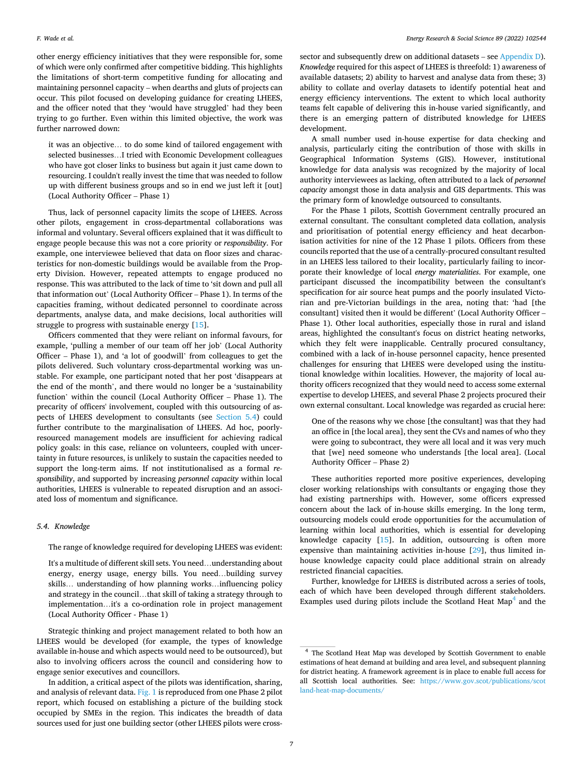other energy efficiency initiatives that they were responsible for, some of which were only confirmed after competitive bidding. This highlights the limitations of short-term competitive funding for allocating and maintaining personnel capacity – when dearths and gluts of projects can occur. This pilot focused on developing guidance for creating LHEES, and the officer noted that they 'would have struggled' had they been trying to go further. Even within this limited objective, the work was further narrowed down:

it was an objective… to do some kind of tailored engagement with selected businesses…I tried with Economic Development colleagues who have got closer links to business but again it just came down to resourcing. I couldn't really invest the time that was needed to follow up with different business groups and so in end we just left it [out] (Local Authority Officer – Phase 1)

Thus, lack of personnel capacity limits the scope of LHEES. Across other pilots, engagement in cross-departmental collaborations was informal and voluntary. Several officers explained that it was difficult to engage people because this was not a core priority or *responsibility*. For example, one interviewee believed that data on floor sizes and characteristics for non-domestic buildings would be available from the Property Division. However, repeated attempts to engage produced no response. This was attributed to the lack of time to 'sit down and pull all that information out' (Local Authority Officer – Phase 1). In terms of the capacities framing, without dedicated personnel to coordinate across departments, analyse data, and make decisions, local authorities will struggle to progress with sustainable energy [\[15](#page-16-0)].

Officers commented that they were reliant on informal favours, for example, 'pulling a member of our team off her job' (Local Authority Officer – Phase 1), and 'a lot of goodwill' from colleagues to get the pilots delivered. Such voluntary cross-departmental working was unstable. For example, one participant noted that her post 'disappears at the end of the month', and there would no longer be a 'sustainability function' within the council (Local Authority Officer – Phase 1). The precarity of officers' involvement, coupled with this outsourcing of aspects of LHEES development to consultants (see Section 5.4) could further contribute to the marginalisation of LHEES. Ad hoc, poorlyresourced management models are insufficient for achieving radical policy goals: in this case, reliance on volunteers, coupled with uncertainty in future resources, is unlikely to sustain the capacities needed to support the long-term aims. If not institutionalised as a formal *responsibility*, and supported by increasing *personnel capacity* within local authorities, LHEES is vulnerable to repeated disruption and an associated loss of momentum and significance.

#### *5.4. Knowledge*

The range of knowledge required for developing LHEES was evident:

It's a multitude of different skill sets. You need…understanding about energy, energy usage, energy bills. You need…building survey skills… understanding of how planning works…influencing policy and strategy in the council…that skill of taking a strategy through to implementation…it's a co-ordination role in project management (Local Authority Officer - Phase 1)

Strategic thinking and project management related to both how an LHEES would be developed (for example, the types of knowledge available in-house and which aspects would need to be outsourced), but also to involving officers across the council and considering how to engage senior executives and councillors.

In addition, a critical aspect of the pilots was identification, sharing, and analysis of relevant data. [Fig. 1](#page-8-0) is reproduced from one Phase 2 pilot report, which focused on establishing a picture of the building stock occupied by SMEs in the region. This indicates the breadth of data sources used for just one building sector (other LHEES pilots were crosssector and subsequently drew on additional datasets – see [Appendix D](#page-12-0)). *Knowledge* required for this aspect of LHEES is threefold: 1) awareness of available datasets; 2) ability to harvest and analyse data from these; 3) ability to collate and overlay datasets to identify potential heat and energy efficiency interventions. The extent to which local authority teams felt capable of delivering this in-house varied significantly, and there is an emerging pattern of distributed knowledge for LHEES development.

A small number used in-house expertise for data checking and analysis, particularly citing the contribution of those with skills in Geographical Information Systems (GIS). However, institutional knowledge for data analysis was recognized by the majority of local authority interviewees as lacking, often attributed to a lack of *personnel capacity* amongst those in data analysis and GIS departments. This was the primary form of knowledge outsourced to consultants.

For the Phase 1 pilots, Scottish Government centrally procured an external consultant. The consultant completed data collation, analysis and prioritisation of potential energy efficiency and heat decarbonisation activities for nine of the 12 Phase 1 pilots. Officers from these councils reported that the use of a centrally-procured consultant resulted in an LHEES less tailored to their locality, particularly failing to incorporate their knowledge of local *energy materialities*. For example, one participant discussed the incompatibility between the consultant's specification for air source heat pumps and the poorly insulated Victorian and pre-Victorian buildings in the area, noting that: 'had [the consultant] visited then it would be different' (Local Authority Officer – Phase 1). Other local authorities, especially those in rural and island areas, highlighted the consultant's focus on district heating networks, which they felt were inapplicable. Centrally procured consultancy, combined with a lack of in-house personnel capacity, hence presented challenges for ensuring that LHEES were developed using the institutional knowledge within localities. However, the majority of local authority officers recognized that they would need to access some external expertise to develop LHEES, and several Phase 2 projects procured their own external consultant. Local knowledge was regarded as crucial here:

One of the reasons why we chose [the consultant] was that they had an office in [the local area], they sent the CVs and names of who they were going to subcontract, they were all local and it was very much that [we] need someone who understands [the local area]. (Local Authority Officer – Phase 2)

These authorities reported more positive experiences, developing closer working relationships with consultants or engaging those they had existing partnerships with. However, some officers expressed concern about the lack of in-house skills emerging. In the long term, outsourcing models could erode opportunities for the accumulation of learning within local authorities, which is essential for developing knowledge capacity [\[15](#page-16-0)]. In addition, outsourcing is often more expensive than maintaining activities in-house [[29\]](#page-17-0), thus limited inhouse knowledge capacity could place additional strain on already restricted financial capacities.

Further, knowledge for LHEES is distributed across a series of tools, each of which have been developed through different stakeholders. Examples used during pilots include the Scotland Heat Map<sup>4</sup> and the

<sup>4</sup> The Scotland Heat Map was developed by Scottish Government to enable estimations of heat demand at building and area level, and subsequent planning for district heating. A framework agreement is in place to enable full access for all Scottish local authorities. See: [https://www.gov.scot/publications/scot](https://www.gov.scot/publications/scotland-heat-map-documents/)  [land-heat-map-documents/](https://www.gov.scot/publications/scotland-heat-map-documents/)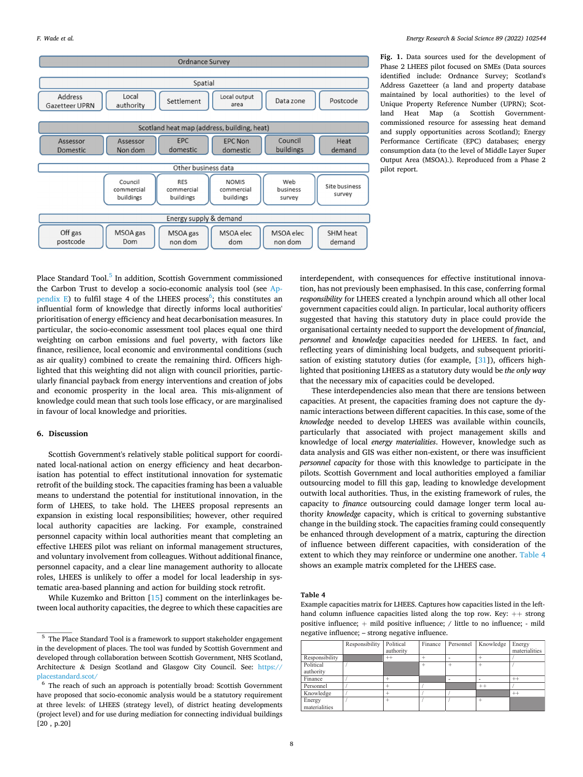<span id="page-8-0"></span>

**Fig. 1.** Data sources used for the development of Phase 2 LHEES pilot focused on SMEs (Data sources identified include: Ordnance Survey; Scotland's Address Gazetteer (a land and property database maintained by local authorities) to the level of Unique Property Reference Number (UPRN); Scotland Heat Map (a Scottish Governmentcommissioned resource for assessing heat demand and supply opportunities across Scotland); Energy Performance Certificate (EPC) databases; energy consumption data (to the level of Middle Layer Super Output Area (MSOA).). Reproduced from a Phase 2 pilot report.

Place Standard Tool.<sup>5</sup> In addition, Scottish Government commissioned the Carbon Trust to develop a socio-economic analysis tool (see [Ap](#page-16-0)[pendix E\)](#page-16-0) to fulfil stage 4 of the LHEES process<sup>6</sup>; this constitutes an influential form of knowledge that directly informs local authorities' prioritisation of energy efficiency and heat decarbonisation measures. In particular, the socio-economic assessment tool places equal one third weighting on carbon emissions and fuel poverty, with factors like finance, resilience, local economic and environmental conditions (such as air quality) combined to create the remaining third. Officers highlighted that this weighting did not align with council priorities, particularly financial payback from energy interventions and creation of jobs and economic prosperity in the local area. This mis-alignment of knowledge could mean that such tools lose efficacy, or are marginalised in favour of local knowledge and priorities.

#### **6. Discussion**

Scottish Government's relatively stable political support for coordinated local-national action on energy efficiency and heat decarbonisation has potential to effect institutional innovation for systematic retrofit of the building stock. The capacities framing has been a valuable means to understand the potential for institutional innovation, in the form of LHEES, to take hold. The LHEES proposal represents an expansion in existing local responsibilities; however, other required local authority capacities are lacking. For example, constrained personnel capacity within local authorities meant that completing an effective LHEES pilot was reliant on informal management structures, and voluntary involvement from colleagues. Without additional finance, personnel capacity, and a clear line management authority to allocate roles, LHEES is unlikely to offer a model for local leadership in systematic area-based planning and action for building stock retrofit.

While Kuzemko and Britton [\[15](#page-16-0)] comment on the interlinkages between local authority capacities, the degree to which these capacities are interdependent, with consequences for effective institutional innovation, has not previously been emphasised. In this case, conferring formal *responsibility* for LHEES created a lynchpin around which all other local government capacities could align. In particular, local authority officers suggested that having this statutory duty in place could provide the organisational certainty needed to support the development of *financial*, *personnel* and *knowledge* capacities needed for LHEES. In fact, and reflecting years of diminishing local budgets, and subsequent prioritisation of existing statutory duties (for example, [[31\]](#page-17-0)), officers highlighted that positioning LHEES as a statutory duty would be *the only way*  that the necessary mix of capacities could be developed.

These interdependencies also mean that there are tensions between capacities. At present, the capacities framing does not capture the dynamic interactions between different capacities. In this case, some of the *knowledge* needed to develop LHEES was available within councils, particularly that associated with project management skills and knowledge of local *energy materialities*. However, knowledge such as data analysis and GIS was either non-existent, or there was insufficient *personnel capacity* for those with this knowledge to participate in the pilots. Scottish Government and local authorities employed a familiar outsourcing model to fill this gap, leading to knowledge development outwith local authorities. Thus, in the existing framework of rules, the capacity to *finance* outsourcing could damage longer term local authority *knowledge* capacity, which is critical to governing substantive change in the building stock. The capacities framing could consequently be enhanced through development of a matrix, capturing the direction of influence between different capacities, with consideration of the extent to which they may reinforce or undermine one another. Table 4 shows an example matrix completed for the LHEES case.

**Table 4** 

Example capacities matrix for LHEES. Captures how capacities listed in the lefthand column influence capacities listed along the top row. Key:  $++$  strong positive influence; + mild positive influence; / little to no influence; - mild negative influence; – strong negative influence.

|                | Responsibility | Political | Finance | Personnel      | Knowledge | Energy        |
|----------------|----------------|-----------|---------|----------------|-----------|---------------|
|                |                | authority |         |                |           | materialities |
| Responsibility |                | $^{++}$   |         | $\overline{a}$ |           |               |
| Political      |                |           |         |                |           |               |
| authority      |                |           |         |                |           |               |
| Finance        |                |           |         |                |           | $^{++}$       |
| Personnel      |                |           |         |                | $^{++}$   |               |
| Knowledge      |                |           |         |                |           | $^{++}$       |
| Energy         |                |           |         |                |           |               |
| materialities  |                |           |         |                |           |               |

 $^{\rm 5}$  The Place Standard Tool is a framework to support stakeholder engagement in the development of places. The tool was funded by Scottish Government and developed through collaboration between Scottish Government, NHS Scotland, Architecture & Design Scotland and Glasgow City Council. See: [https://](https://placestandard.scot/)  [placestandard.scot/](https://placestandard.scot/) 

<sup>6</sup> The reach of such an approach is potentially broad: Scottish Government have proposed that socio-economic analysis would be a statutory requirement at three levels: of LHEES (strategy level), of district heating developments (project level) and for use during mediation for connecting individual buildings [20 , p.20]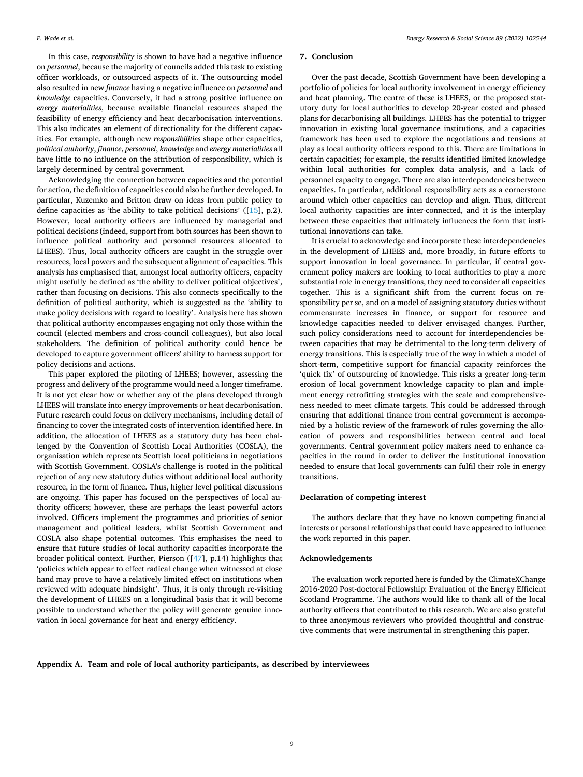<span id="page-9-0"></span>In this case, *responsibility* is shown to have had a negative influence on *personnel*, because the majority of councils added this task to existing officer workloads, or outsourced aspects of it. The outsourcing model also resulted in new *finance* having a negative influence on *personnel* and *knowledge* capacities. Conversely, it had a strong positive influence on *energy materialities*, because available financial resources shaped the feasibility of energy efficiency and heat decarbonisation interventions. This also indicates an element of directionality for the different capacities. For example, although new *responsibilities* shape other capacities, *political authority*, *finance*, *personnel*, *knowledge* and *energy materialities* all have little to no influence on the attribution of responsibility, which is largely determined by central government.

Acknowledging the connection between capacities and the potential for action, the definition of capacities could also be further developed. In particular, Kuzemko and Britton draw on ideas from public policy to define capacities as 'the ability to take political decisions' ([[15\]](#page-16-0), p.2). However, local authority officers are influenced by managerial and political decisions (indeed, support from both sources has been shown to influence political authority and personnel resources allocated to LHEES). Thus, local authority officers are caught in the struggle over resources, local powers and the subsequent alignment of capacities. This analysis has emphasised that, amongst local authority officers, capacity might usefully be defined as 'the ability to deliver political objectives', rather than focusing on decisions. This also connects specifically to the definition of political authority, which is suggested as the 'ability to make policy decisions with regard to locality'. Analysis here has shown that political authority encompasses engaging not only those within the council (elected members and cross-council colleagues), but also local stakeholders. The definition of political authority could hence be developed to capture government officers' ability to harness support for policy decisions and actions.

This paper explored the piloting of LHEES; however, assessing the progress and delivery of the programme would need a longer timeframe. It is not yet clear how or whether any of the plans developed through LHEES will translate into energy improvements or heat decarbonisation. Future research could focus on delivery mechanisms, including detail of financing to cover the integrated costs of intervention identified here. In addition, the allocation of LHEES as a statutory duty has been challenged by the Convention of Scottish Local Authorities (COSLA), the organisation which represents Scottish local politicians in negotiations with Scottish Government. COSLA's challenge is rooted in the political rejection of any new statutory duties without additional local authority resource, in the form of finance. Thus, higher level political discussions are ongoing. This paper has focused on the perspectives of local authority officers; however, these are perhaps the least powerful actors involved. Officers implement the programmes and priorities of senior management and political leaders, whilst Scottish Government and COSLA also shape potential outcomes. This emphasises the need to ensure that future studies of local authority capacities incorporate the broader political context. Further, Pierson ([[47](#page-17-0)], p.14) highlights that 'policies which appear to effect radical change when witnessed at close hand may prove to have a relatively limited effect on institutions when reviewed with adequate hindsight'. Thus, it is only through re-visiting the development of LHEES on a longitudinal basis that it will become possible to understand whether the policy will generate genuine innovation in local governance for heat and energy efficiency.

#### **7. Conclusion**

Over the past decade, Scottish Government have been developing a portfolio of policies for local authority involvement in energy efficiency and heat planning. The centre of these is LHEES, or the proposed statutory duty for local authorities to develop 20-year costed and phased plans for decarbonising all buildings. LHEES has the potential to trigger innovation in existing local governance institutions, and a capacities framework has been used to explore the negotiations and tensions at play as local authority officers respond to this. There are limitations in certain capacities; for example, the results identified limited knowledge within local authorities for complex data analysis, and a lack of personnel capacity to engage. There are also interdependencies between capacities. In particular, additional responsibility acts as a cornerstone around which other capacities can develop and align. Thus, different local authority capacities are inter-connected, and it is the interplay between these capacities that ultimately influences the form that institutional innovations can take.

It is crucial to acknowledge and incorporate these interdependencies in the development of LHEES and, more broadly, in future efforts to support innovation in local governance. In particular, if central government policy makers are looking to local authorities to play a more substantial role in energy transitions, they need to consider all capacities together. This is a significant shift from the current focus on responsibility per se, and on a model of assigning statutory duties without commensurate increases in finance, or support for resource and knowledge capacities needed to deliver envisaged changes. Further, such policy considerations need to account for interdependencies between capacities that may be detrimental to the long-term delivery of energy transitions. This is especially true of the way in which a model of short-term, competitive support for financial capacity reinforces the 'quick fix' of outsourcing of knowledge. This risks a greater long-term erosion of local government knowledge capacity to plan and implement energy retrofitting strategies with the scale and comprehensiveness needed to meet climate targets. This could be addressed through ensuring that additional finance from central government is accompanied by a holistic review of the framework of rules governing the allocation of powers and responsibilities between central and local governments. Central government policy makers need to enhance capacities in the round in order to deliver the institutional innovation needed to ensure that local governments can fulfil their role in energy transitions.

#### **Declaration of competing interest**

The authors declare that they have no known competing financial interests or personal relationships that could have appeared to influence the work reported in this paper.

#### **Acknowledgements**

The evaluation work reported here is funded by the ClimateXChange 2016-2020 Post-doctoral Fellowship: Evaluation of the Energy Efficient Scotland Programme. The authors would like to thank all of the local authority officers that contributed to this research. We are also grateful to three anonymous reviewers who provided thoughtful and constructive comments that were instrumental in strengthening this paper.

**Appendix A. Team and role of local authority participants, as described by interviewees**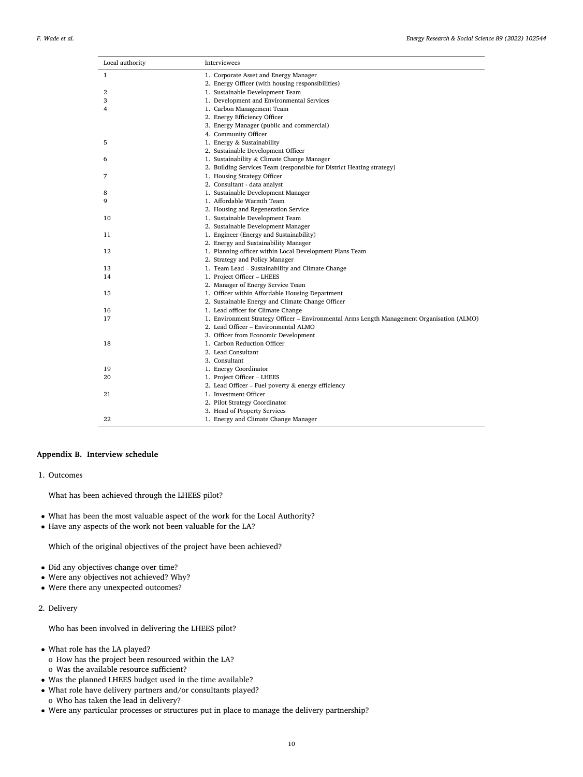<span id="page-10-0"></span>

| Local authority | Interviewees                                                                               |
|-----------------|--------------------------------------------------------------------------------------------|
| 1               | 1. Corporate Asset and Energy Manager                                                      |
|                 | 2. Energy Officer (with housing responsibilities)                                          |
| 2               | 1. Sustainable Development Team                                                            |
| 3               | 1. Development and Environmental Services                                                  |
| 4               | 1. Carbon Management Team                                                                  |
|                 | 2. Energy Efficiency Officer                                                               |
|                 | 3. Energy Manager (public and commercial)                                                  |
|                 | 4. Community Officer                                                                       |
| 5               | 1. Energy & Sustainability                                                                 |
|                 | 2. Sustainable Development Officer                                                         |
| 6               | 1. Sustainability & Climate Change Manager                                                 |
|                 | 2. Building Services Team (responsible for District Heating strategy)                      |
| 7               | 1. Housing Strategy Officer                                                                |
|                 | 2. Consultant - data analyst                                                               |
| 8               | 1. Sustainable Development Manager                                                         |
| 9               | 1. Affordable Warmth Team                                                                  |
|                 | 2. Housing and Regeneration Service                                                        |
| 10              | 1. Sustainable Development Team                                                            |
|                 | 2. Sustainable Development Manager                                                         |
| 11              | 1. Engineer (Energy and Sustainability)                                                    |
|                 | 2. Energy and Sustainability Manager                                                       |
| 12              | 1. Planning officer within Local Development Plans Team                                    |
|                 | 2. Strategy and Policy Manager                                                             |
| 13              | 1. Team Lead - Sustainability and Climate Change                                           |
| 14              | 1. Project Officer - LHEES                                                                 |
|                 | 2. Manager of Energy Service Team                                                          |
| 15              | 1. Officer within Affordable Housing Department                                            |
|                 | 2. Sustainable Energy and Climate Change Officer                                           |
| 16              | 1. Lead officer for Climate Change                                                         |
| 17              | 1. Environment Strategy Officer - Environmental Arms Length Management Organisation (ALMO) |
|                 | 2. Lead Officer - Environmental ALMO                                                       |
|                 | 3. Officer from Economic Development                                                       |
| 18              | 1. Carbon Reduction Officer                                                                |
|                 | 2. Lead Consultant                                                                         |
|                 | 3. Consultant                                                                              |
| 19              | 1. Energy Coordinator                                                                      |
| 20              | 1. Project Officer - LHEES                                                                 |
|                 | 2. Lead Officer - Fuel poverty & energy efficiency                                         |
| 21              | 1. Investment Officer                                                                      |
|                 | 2. Pilot Strategy Coordinator                                                              |
|                 | 3. Head of Property Services                                                               |
| 22              | 1. Energy and Climate Change Manager                                                       |

### **Appendix B. Interview schedule**

÷,

#### 1. Outcomes

What has been achieved through the LHEES pilot?

- What has been the most valuable aspect of the work for the Local Authority?
- Have any aspects of the work not been valuable for the LA?

Which of the original objectives of the project have been achieved?

- Did any objectives change over time?
- Were any objectives not achieved? Why?
- Were there any unexpected outcomes?

#### 2. Delivery

Who has been involved in delivering the LHEES pilot?

- What role has the LA played? o How has the project been resourced within the LA? o Was the available resource sufficient?
- Was the planned LHEES budget used in the time available?
- What role have delivery partners and/or consultants played?
- o Who has taken the lead in delivery?
- Were any particular processes or structures put in place to manage the delivery partnership?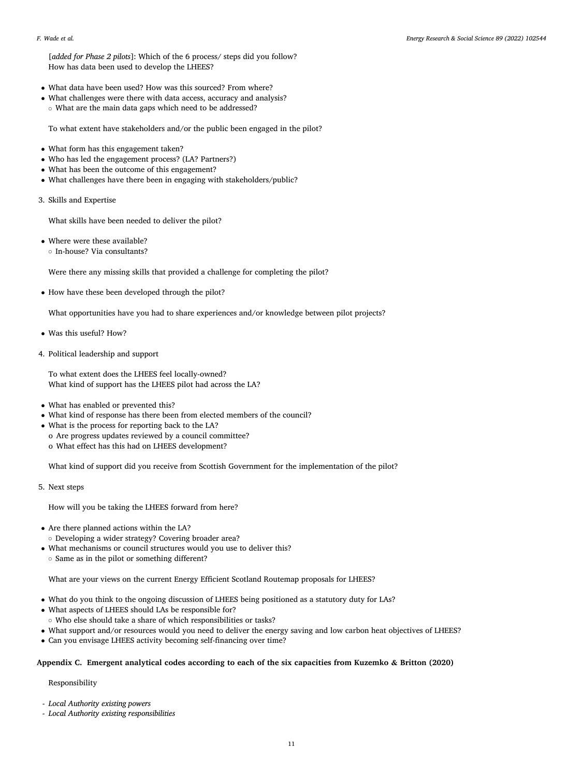<span id="page-11-0"></span>[*added for Phase 2 pilots*]: Which of the 6 process/ steps did you follow? How has data been used to develop the LHEES?

- What data have been used? How was this sourced? From where?
- What challenges were there with data access, accuracy and analysis? ○ What are the main data gaps which need to be addressed?

To what extent have stakeholders and/or the public been engaged in the pilot?

- What form has this engagement taken?
- Who has led the engagement process? (LA? Partners?)
- What has been the outcome of this engagement?
- What challenges have there been in engaging with stakeholders/public?
- 3. Skills and Expertise

What skills have been needed to deliver the pilot?

- Where were these available? ○ In-house? Via consultants?
	- Were there any missing skills that provided a challenge for completing the pilot?
- How have these been developed through the pilot?

What opportunities have you had to share experiences and/or knowledge between pilot projects?

- Was this useful? How?
- 4. Political leadership and support

To what extent does the LHEES feel locally-owned? What kind of support has the LHEES pilot had across the LA?

- What has enabled or prevented this?
- What kind of response has there been from elected members of the council?
- What is the process for reporting back to the LA?
- o Are progress updates reviewed by a council committee? o What effect has this had on LHEES development?

What kind of support did you receive from Scottish Government for the implementation of the pilot?

5. Next steps

How will you be taking the LHEES forward from here?

- Are there planned actions within the LA?
- Developing a wider strategy? Covering broader area?
- What mechanisms or council structures would you use to deliver this?
- Same as in the pilot or something different?

What are your views on the current Energy Efficient Scotland Routemap proposals for LHEES?

- What do you think to the ongoing discussion of LHEES being positioned as a statutory duty for LAs?
- What aspects of LHEES should LAs be responsible for?
- Who else should take a share of which responsibilities or tasks?
- What support and/or resources would you need to deliver the energy saving and low carbon heat objectives of LHEES?
- Can you envisage LHEES activity becoming self-financing over time?

#### **Appendix C. Emergent analytical codes according to each of the six capacities from Kuzemko & Britton (2020)**

#### Responsibility

- *Local Authority existing powers*
- *Local Authority existing responsibilities*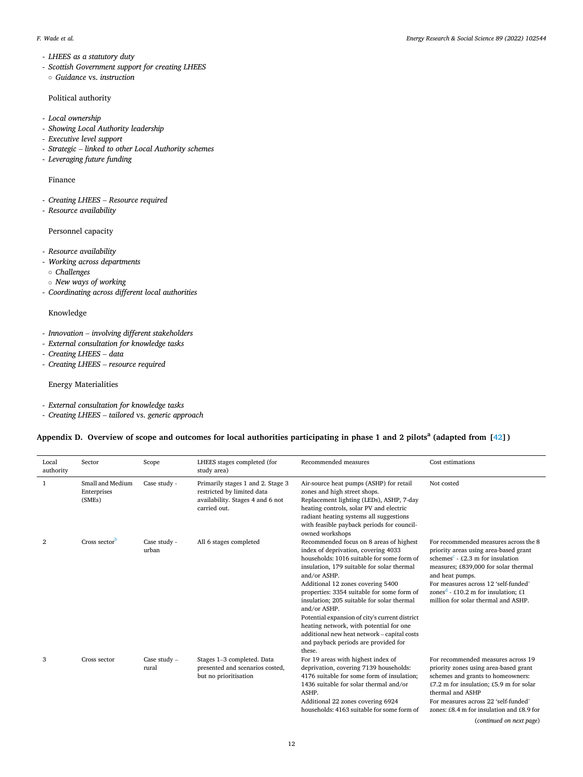- <span id="page-12-0"></span>- *LHEES as a statutory duty*
- *Scottish Government support for creating LHEES*  ○ *Guidance* vs. *instruction*

#### Political authority

- *Local ownership*
- *Showing Local Authority leadership*
- *Executive level support*
- *Strategic linked to other Local Authority schemes*
- *Leveraging future funding*

#### Finance

- *Creating LHEES Resource required*
- *Resource availability*

#### Personnel capacity

- *Resource availability*
- *Working across departments*
- *Challenges*
- *New ways of working*
- *Coordinating across different local authorities*

#### Knowledge

- *Innovation involving different stakeholders*
- *External consultation for knowledge tasks*
- *Creating LHEES data*
- *Creating LHEES resource required*

### Energy Materialities

- *External consultation for knowledge tasks*
- *Creating LHEES tailored* vs. *generic approach*

#### **Appendix D. Overview of scope and outcomes for local authorities participating in phase 1 and 2 pilotsa (adapted from [\[42\]](#page-17-0))**

| Local<br>authority | Sector                                    | Scope                   | LHEES stages completed (for<br>study area)                                                                          | Recommended measures                                                                                                                                                                                                                                                                                                                                                                                                                                                                                                                      | Cost estimations                                                                                                                                                                                                                                                                                                            |
|--------------------|-------------------------------------------|-------------------------|---------------------------------------------------------------------------------------------------------------------|-------------------------------------------------------------------------------------------------------------------------------------------------------------------------------------------------------------------------------------------------------------------------------------------------------------------------------------------------------------------------------------------------------------------------------------------------------------------------------------------------------------------------------------------|-----------------------------------------------------------------------------------------------------------------------------------------------------------------------------------------------------------------------------------------------------------------------------------------------------------------------------|
| 1                  | Small and Medium<br>Enterprises<br>(SMEs) | Case study -            | Primarily stages 1 and 2. Stage 3<br>restricted by limited data<br>availability. Stages 4 and 6 not<br>carried out. | Air-source heat pumps (ASHP) for retail<br>zones and high street shops.<br>Replacement lighting (LEDs), ASHP, 7-day<br>heating controls, solar PV and electric<br>radiant heating systems all suggestions<br>with feasible payback periods for council-<br>owned workshops                                                                                                                                                                                                                                                                | Not costed                                                                                                                                                                                                                                                                                                                  |
| 2                  | Cross sector <sup>b</sup>                 | Case study -<br>urban   | All 6 stages completed                                                                                              | Recommended focus on 8 areas of highest<br>index of deprivation, covering 4033<br>households: 1016 suitable for some form of<br>insulation, 179 suitable for solar thermal<br>and/or ASHP.<br>Additional 12 zones covering 5400<br>properties: 3354 suitable for some form of<br>insulation; 205 suitable for solar thermal<br>and/or ASHP.<br>Potential expansion of city's current district<br>heating network, with potential for one<br>additional new heat network - capital costs<br>and payback periods are provided for<br>these. | For recommended measures across the 8<br>priority areas using area-based grant<br>schemes <sup>c</sup> - £2.3 m for insulation<br>measures; £839,000 for solar thermal<br>and heat pumps.<br>For measures across 12 'self-funded'<br>zones <sup>d</sup> - £10.2 m for insulation; £1<br>million for solar thermal and ASHP. |
| 3                  | Cross sector                              | Case study $-$<br>rural | Stages 1-3 completed. Data<br>presented and scenarios costed,<br>but no prioritisation                              | For 19 areas with highest index of<br>deprivation, covering 7139 households:<br>4176 suitable for some form of insulation:<br>1436 suitable for solar thermal and/or<br>ASHP.<br>Additional 22 zones covering 6924<br>households: 4163 suitable for some form of                                                                                                                                                                                                                                                                          | For recommended measures across 19<br>priority zones using area-based grant<br>schemes and grants to homeowners:<br>£7.2 m for insulation; £5.9 m for solar<br>thermal and ASHP<br>For measures across 22 'self-funded'<br>zones: £8.4 m for insulation and £8.9 for                                                        |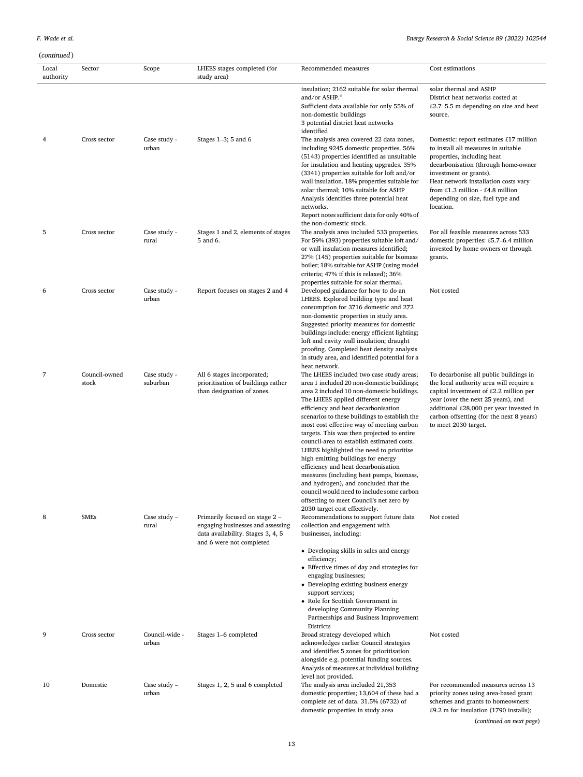| Local<br>authority | Sector                 | Scope                    | LHEES stages completed (for<br>study area)                                                                                           | Recommended measures                                                                                                                                                                                                                                                                                                                                                                                                                                                                                                                                                                                                                                                                                               | Cost estimations                                                                                                                                                                                                                                                                                          |
|--------------------|------------------------|--------------------------|--------------------------------------------------------------------------------------------------------------------------------------|--------------------------------------------------------------------------------------------------------------------------------------------------------------------------------------------------------------------------------------------------------------------------------------------------------------------------------------------------------------------------------------------------------------------------------------------------------------------------------------------------------------------------------------------------------------------------------------------------------------------------------------------------------------------------------------------------------------------|-----------------------------------------------------------------------------------------------------------------------------------------------------------------------------------------------------------------------------------------------------------------------------------------------------------|
|                    |                        |                          |                                                                                                                                      | insulation; 2162 suitable for solar thermal<br>and/or ASHP. <sup>e</sup><br>Sufficient data available for only 55% of<br>non-domestic buildings<br>3 potential district heat networks<br>identified                                                                                                                                                                                                                                                                                                                                                                                                                                                                                                                | solar thermal and ASHP<br>District heat networks costed at<br>$£2.7-5.5$ m depending on size and heat<br>source.                                                                                                                                                                                          |
| 4                  | Cross sector           | Case study -<br>urban    | Stages $1-3$ ; 5 and 6                                                                                                               | The analysis area covered 22 data zones,<br>including 9245 domestic properties. 56%<br>(5143) properties identified as unsuitable<br>for insulation and heating upgrades. 35%<br>(3341) properties suitable for loft and/or<br>wall insulation. 18% properties suitable for<br>solar thermal; 10% suitable for ASHP<br>Analysis identifies three potential heat<br>networks.<br>Report notes sufficient data for only 40% of                                                                                                                                                                                                                                                                                       | Domestic: report estimates £17 million<br>to install all measures in suitable<br>properties, including heat<br>decarbonisation (through home-owner<br>investment or grants).<br>Heat network installation costs vary<br>from £1.3 million - £4.8 million<br>depending on size, fuel type and<br>location. |
| 5                  | Cross sector           | Case study -<br>rural    | Stages 1 and 2, elements of stages<br>5 and 6.                                                                                       | the non-domestic stock.<br>The analysis area included 533 properties.<br>For 59% (393) properties suitable loft and/<br>or wall insulation measures identified;<br>27% (145) properties suitable for biomass<br>boiler; 18% suitable for ASHP (using model<br>criteria; 47% if this is relaxed); 36%<br>properties suitable for solar thermal.                                                                                                                                                                                                                                                                                                                                                                     | For all feasible measures across 533<br>domestic properties: £5.7–6.4 million<br>invested by home owners or through<br>grants.                                                                                                                                                                            |
| 6                  | Cross sector           | Case study -<br>urban    | Report focuses on stages 2 and 4                                                                                                     | Developed guidance for how to do an<br>LHEES. Explored building type and heat<br>consumption for 3716 domestic and 272<br>non-domestic properties in study area.<br>Suggested priority measures for domestic<br>buildings include: energy efficient lighting;<br>loft and cavity wall insulation; draught<br>proofing. Completed heat density analysis<br>in study area, and identified potential for a<br>heat network.                                                                                                                                                                                                                                                                                           | Not costed                                                                                                                                                                                                                                                                                                |
| 7                  | Council-owned<br>stock | Case study -<br>suburban | All 6 stages incorporated;<br>prioritisation of buildings rather<br>than designation of zones.                                       | The LHEES included two case study areas;<br>area 1 included 20 non-domestic buildings;<br>area 2 included 10 non-domestic buildings.<br>The LHEES applied different energy<br>efficiency and heat decarbonisation<br>scenarios to these buildings to establish the<br>most cost effective way of meeting carbon<br>targets. This was then projected to entire<br>council-area to establish estimated costs.<br>LHEES highlighted the need to prioritise<br>high emitting buildings for energy<br>efficiency and heat decarbonisation<br>measures (including heat pumps, biomass,<br>and hydrogen), and concluded that the<br>council would need to include some carbon<br>offsetting to meet Council's net zero by | To decarbonise all public buildings in<br>the local authority area will require a<br>capital investment of £2.2 million per<br>year (over the next 25 years), and<br>additional £28,000 per year invested in<br>carbon offsetting (for the next 8 years)<br>to meet 2030 target.                          |
| 8                  | <b>SMEs</b>            | Case study $-$<br>rural  | Primarily focused on stage 2 -<br>engaging businesses and assessing<br>data availability. Stages 3, 4, 5<br>and 6 were not completed | 2030 target cost effectively.<br>Recommendations to support future data<br>collection and engagement with<br>businesses, including:<br>• Developing skills in sales and energy                                                                                                                                                                                                                                                                                                                                                                                                                                                                                                                                     | Not costed                                                                                                                                                                                                                                                                                                |
| 9                  | Cross sector           | Council-wide -<br>urban  | Stages 1–6 completed                                                                                                                 | efficiency;<br>• Effective times of day and strategies for<br>engaging businesses;<br>• Developing existing business energy<br>support services;<br>• Role for Scottish Government in<br>developing Community Planning<br>Partnerships and Business Improvement<br>Districts<br>Broad strategy developed which<br>acknowledges earlier Council strategies                                                                                                                                                                                                                                                                                                                                                          | Not costed                                                                                                                                                                                                                                                                                                |
|                    |                        |                          |                                                                                                                                      | and identifies 5 zones for prioritisation<br>alongside e.g. potential funding sources.<br>Analysis of measures at individual building<br>level not provided.                                                                                                                                                                                                                                                                                                                                                                                                                                                                                                                                                       |                                                                                                                                                                                                                                                                                                           |
| 10                 | Domestic               | Case study $-$<br>urban  | Stages 1, 2, 5 and 6 completed                                                                                                       | The analysis area included 21,353<br>domestic properties; 13,604 of these had a<br>complete set of data. 31.5% (6732) of                                                                                                                                                                                                                                                                                                                                                                                                                                                                                                                                                                                           | For recommended measures across 13<br>priority zones using area-based grant<br>schemes and grants to homeowners:                                                                                                                                                                                          |

(*continued on next page*)

£9.2 m for insulation (1790 installs);

domestic properties in study area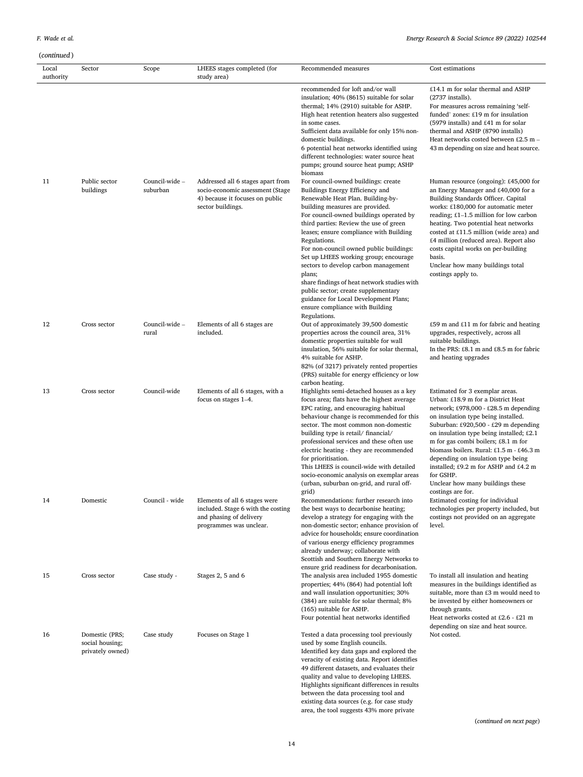| Local<br>authority | Sector                                                | Scope                      | LHEES stages completed (for<br>study area)                                                                                    | Recommended measures                                                                                                                                                                                                                                                                                                                                                                                                                                                                                                                                                                                                              | Cost estimations                                                                                                                                                                                                                                                                                                                                                                                                                                                                  |
|--------------------|-------------------------------------------------------|----------------------------|-------------------------------------------------------------------------------------------------------------------------------|-----------------------------------------------------------------------------------------------------------------------------------------------------------------------------------------------------------------------------------------------------------------------------------------------------------------------------------------------------------------------------------------------------------------------------------------------------------------------------------------------------------------------------------------------------------------------------------------------------------------------------------|-----------------------------------------------------------------------------------------------------------------------------------------------------------------------------------------------------------------------------------------------------------------------------------------------------------------------------------------------------------------------------------------------------------------------------------------------------------------------------------|
|                    |                                                       |                            |                                                                                                                               | recommended for loft and/or wall<br>insulation; 40% (8615) suitable for solar<br>thermal; 14% (2910) suitable for ASHP.<br>High heat retention heaters also suggested<br>in some cases.<br>Sufficient data available for only 15% non-<br>domestic buildings.<br>6 potential heat networks identified using<br>different technologies: water source heat<br>pumps; ground source heat pump; ASHP                                                                                                                                                                                                                                  | £14.1 m for solar thermal and ASHP<br>$(2737$ installs).<br>For measures across remaining 'self-<br>funded' zones: £19 m for insulation<br>(5979 installs) and £41 m for solar<br>thermal and ASHP (8790 installs)<br>Heat networks costed between £2.5 m -<br>43 m depending on size and heat source.                                                                                                                                                                            |
| 11                 | Public sector<br>buildings                            | Council-wide -<br>suburban | Addressed all 6 stages apart from<br>socio-economic assessment (Stage<br>4) because it focuses on public<br>sector buildings. | biomass<br>For council-owned buildings: create<br>Buildings Energy Efficiency and<br>Renewable Heat Plan. Building-by-<br>building measures are provided.<br>For council-owned buildings operated by<br>third parties: Review the use of green<br>leases; ensure compliance with Building<br>Regulations.<br>For non-council owned public buildings:<br>Set up LHEES working group; encourage<br>sectors to develop carbon management<br>plans;<br>share findings of heat network studies with<br>public sector; create supplementary<br>guidance for Local Development Plans;<br>ensure compliance with Building<br>Regulations. | Human resource (ongoing): £45,000 for<br>an Energy Manager and £40,000 for a<br>Building Standards Officer. Capital<br>works: £180,000 for automatic meter<br>reading; $£1-1.5$ million for low carbon<br>heating. Two potential heat networks<br>costed at £11.5 million (wide area) and<br>£4 million (reduced area). Report also<br>costs capital works on per-building<br>basis.<br>Unclear how many buildings total<br>costings apply to.                                    |
| 12                 | Cross sector                                          | Council-wide -<br>rural    | Elements of all 6 stages are<br>included.                                                                                     | Out of approximately 39,500 domestic<br>properties across the council area, 31%<br>domestic properties suitable for wall<br>insulation, 56% suitable for solar thermal,<br>4% suitable for ASHP.<br>82% (of 3217) privately rented properties<br>(PRS) suitable for energy efficiency or low<br>carbon heating.                                                                                                                                                                                                                                                                                                                   | £59 m and $£11$ m for fabric and heating<br>upgrades, respectively, across all<br>suitable buildings.<br>In the PRS: £8.1 m and £8.5 m for fabric<br>and heating upgrades                                                                                                                                                                                                                                                                                                         |
| 13                 | Cross sector                                          | Council-wide               | Elements of all 6 stages, with a<br>focus on stages 1-4.                                                                      | Highlights semi-detached houses as a key<br>focus area; flats have the highest average<br>EPC rating, and encouraging habitual<br>behaviour change is recommended for this<br>sector. The most common non-domestic<br>building type is retail/ financial/<br>professional services and these often use<br>electric heating - they are recommended<br>for prioritisation.<br>This LHEES is council-wide with detailed<br>socio-economic analysis on exemplar areas<br>(urban, suburban on-grid, and rural off-<br>grid)                                                                                                            | Estimated for 3 exemplar areas.<br>Urban: £18.9 m for a District Heat<br>network; £978,000 - £28.5 m depending<br>on insulation type being installed.<br>Suburban: £920,500 - £29 m depending<br>on insulation type being installed; £2.1<br>m for gas combi boilers; £8.1 m for<br>biomass boilers. Rural: £1.5 m - £46.3 m<br>depending on insulation type being<br>installed; £9.2 m for ASHP and £4.2 m<br>for GSHP.<br>Unclear how many buildings these<br>costings are for. |
| 14                 | Domestic                                              | Council - wide             | Elements of all 6 stages were<br>included. Stage 6 with the costing<br>and phasing of delivery<br>programmes was unclear.     | Recommendations: further research into<br>the best ways to decarbonise heating;<br>develop a strategy for engaging with the<br>non-domestic sector; enhance provision of<br>advice for households; ensure coordination<br>of various energy efficiency programmes<br>already underway; collaborate with<br>Scottish and Southern Energy Networks to<br>ensure grid readiness for decarbonisation.                                                                                                                                                                                                                                 | Estimated costing for individual<br>technologies per property included, but<br>costings not provided on an aggregate<br>level.                                                                                                                                                                                                                                                                                                                                                    |
| 15                 | Cross sector                                          | Case study -               | Stages 2, 5 and 6                                                                                                             | The analysis area included 1955 domestic<br>properties; 44% (864) had potential loft<br>and wall insulation opportunities; 30%<br>(384) are suitable for solar thermal; 8%<br>(165) suitable for ASHP.<br>Four potential heat networks identified                                                                                                                                                                                                                                                                                                                                                                                 | To install all insulation and heating<br>measures in the buildings identified as<br>suitable, more than £3 m would need to<br>be invested by either homeowners or<br>through grants.<br>Heat networks costed at £2.6 - £21 m<br>depending on size and heat source.                                                                                                                                                                                                                |
| 16                 | Domestic (PRS;<br>social housing;<br>privately owned) | Case study                 | Focuses on Stage 1                                                                                                            | Tested a data processing tool previously<br>used by some English councils.<br>Identified key data gaps and explored the<br>veracity of existing data. Report identifies<br>49 different datasets, and evaluates their<br>quality and value to developing LHEES.<br>Highlights significant differences in results<br>between the data processing tool and                                                                                                                                                                                                                                                                          | Not costed.                                                                                                                                                                                                                                                                                                                                                                                                                                                                       |

existing data sources (e.g. for case study area, the tool suggests 43% more private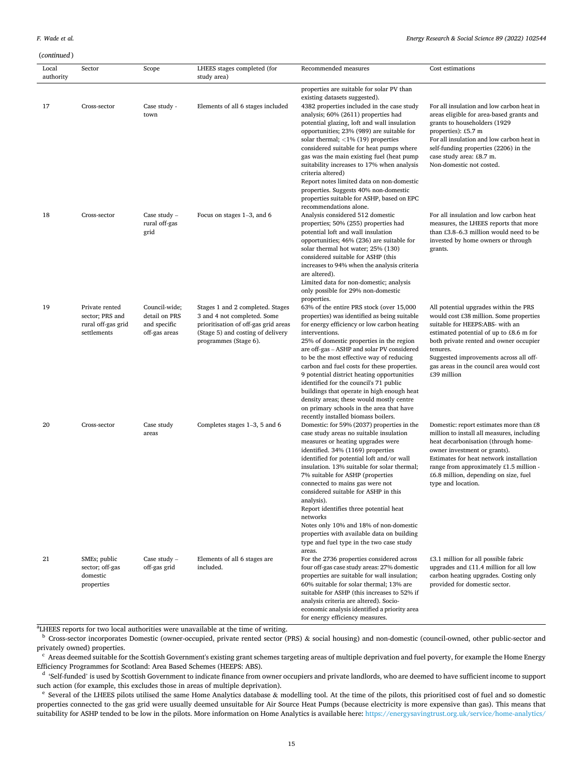#### <span id="page-15-0"></span>(*continued* )

| (сонинией )<br>Local | Sector                                                                 | Scope                                                           | LHEES stages completed (for                                                                                                                                           | Recommended measures                                                                                                                                                                                                                                                                                                                                                                                                                                                                                                                                                                                                                  | Cost estimations                                                                                                                                                                                                                                                                                                          |
|----------------------|------------------------------------------------------------------------|-----------------------------------------------------------------|-----------------------------------------------------------------------------------------------------------------------------------------------------------------------|---------------------------------------------------------------------------------------------------------------------------------------------------------------------------------------------------------------------------------------------------------------------------------------------------------------------------------------------------------------------------------------------------------------------------------------------------------------------------------------------------------------------------------------------------------------------------------------------------------------------------------------|---------------------------------------------------------------------------------------------------------------------------------------------------------------------------------------------------------------------------------------------------------------------------------------------------------------------------|
| authority            |                                                                        |                                                                 | study area)                                                                                                                                                           |                                                                                                                                                                                                                                                                                                                                                                                                                                                                                                                                                                                                                                       |                                                                                                                                                                                                                                                                                                                           |
| 17                   | Cross-sector                                                           | Case study -<br>town                                            | Elements of all 6 stages included                                                                                                                                     | properties are suitable for solar PV than<br>existing datasets suggested).<br>4382 properties included in the case study<br>analysis; 60% (2611) properties had<br>potential glazing, loft and wall insulation<br>opportunities; 23% (989) are suitable for<br>solar thermal; $\langle 1\% (19)$ properties<br>considered suitable for heat pumps where<br>gas was the main existing fuel (heat pump<br>suitability increases to 17% when analysis<br>criteria altered)<br>Report notes limited data on non-domestic<br>properties. Suggests 40% non-domestic<br>properties suitable for ASHP, based on EPC<br>recommendations alone. | For all insulation and low carbon heat in<br>areas eligible for area-based grants and<br>grants to householders (1929<br>properties): £5.7 m<br>For all insulation and low carbon heat in<br>self-funding properties (2206) in the<br>case study area: £8.7 m.<br>Non-domestic not costed.                                |
| 18                   | Cross-sector                                                           | Case study $-$<br>rural off-gas<br>grid                         | Focus on stages $1-3$ , and 6                                                                                                                                         | Analysis considered 512 domestic<br>properties; 50% (255) properties had<br>potential loft and wall insulation<br>opportunities; 46% (236) are suitable for<br>solar thermal hot water; 25% (130)<br>considered suitable for ASHP (this<br>increases to 94% when the analysis criteria<br>are altered).<br>Limited data for non-domestic; analysis<br>only possible for 29% non-domestic<br>properties.                                                                                                                                                                                                                               | For all insulation and low carbon heat<br>measures, the LHEES reports that more<br>than £3.8-6.3 million would need to be<br>invested by home owners or through<br>grants.                                                                                                                                                |
| 19                   | Private rented<br>sector; PRS and<br>rural off-gas grid<br>settlements | Council-wide;<br>detail on PRS<br>and specific<br>off-gas areas | Stages 1 and 2 completed. Stages<br>3 and 4 not completed. Some<br>prioritisation of off-gas grid areas<br>(Stage 5) and costing of delivery<br>programmes (Stage 6). | 63% of the entire PRS stock (over 15,000<br>properties) was identified as being suitable<br>for energy efficiency or low carbon heating<br>interventions.<br>25% of domestic properties in the region<br>are off-gas - ASHP and solar PV considered<br>to be the most effective way of reducing<br>carbon and fuel costs for these properties.<br>9 potential district heating opportunities<br>identified for the council's 71 public<br>buildings that operate in high enough heat<br>density areas; these would mostly centre<br>on primary schools in the area that have<br>recently installed biomass boilers.                   | All potential upgrades within the PRS<br>would cost £38 million. Some properties<br>suitable for HEEPS:ABS- with an<br>estimated potential of up to £8.6 m for<br>both private rented and owner occupier<br>tenures.<br>Suggested improvements across all off-<br>gas areas in the council area would cost<br>£39 million |
| 20                   | Cross-sector                                                           | Case study<br>areas                                             | Completes stages $1-3$ , 5 and 6                                                                                                                                      | Domestic: for 59% (2037) properties in the<br>case study areas no suitable insulation<br>measures or heating upgrades were<br>identified. 34% (1169) properties<br>identified for potential loft and/or wall<br>insulation. 13% suitable for solar thermal;<br>7% suitable for ASHP (properties<br>connected to mains gas were not<br>considered suitable for ASHP in this<br>analysis).<br>Report identifies three potential heat<br>networks<br>Notes only 10% and 18% of non-domestic<br>properties with available data on building<br>type and fuel type in the two case study<br>areas.                                          | Domestic: report estimates more than £8<br>million to install all measures, including<br>heat decarbonisation (through home-<br>owner investment or grants).<br>Estimates for heat network installation<br>range from approximately £1.5 million -<br>£6.8 million, depending on size, fuel<br>type and location.         |
| 21                   | SMEs; public<br>sector; off-gas<br>domestic<br>properties              | Case study -<br>off-gas grid                                    | Elements of all 6 stages are<br>included.                                                                                                                             | For the 2736 properties considered across<br>four off-gas case study areas: 27% domestic<br>properties are suitable for wall insulation;<br>60% suitable for solar thermal; 13% are<br>suitable for ASHP (this increases to 52% if<br>analysis criteria are altered). Socio-<br>economic analysis identified a priority area<br>for energy efficiency measures.                                                                                                                                                                                                                                                                       | £3.1 million for all possible fabric<br>upgrades and £11.4 million for all low<br>carbon heating upgrades. Costing only<br>provided for domestic sector.                                                                                                                                                                  |

<sup>a</sup>LHEES reports for two local authorities were unavailable at the time of writing.

<sup>b</sup> Cross-sector incorporates Domestic (owner-occupied, private rented sector (PRS)  $\&$  social housing) and non-domestic (council-owned, other public-sector and privately owned) properties.

 $^{\rm c}$  Areas deemed suitable for the Scottish Government's existing grant schemes targeting areas of multiple deprivation and fuel poverty, for example the Home Energy Efficiency Programmes for Scotland: Area Based Schem

<sup>d</sup> 'Self-funded' is used by Scottish Government to indicate finance from owner occupiers and private landlords, who are deemed to have sufficient income to support

such action (for example, this excludes those in areas of multiple deprivation).<br>
Consequences of the UHEES pilots utilised the same Home Analytics database & modelling tool. At the time of the pilots, this prioritised co properties connected to the gas grid were usually deemed unsuitable for Air Source Heat Pumps (because electricity is more expensive than gas). This means that suitability for ASHP tended to be low in the pilots. More information on Home Analytics is available here:<https://energysavingtrust.org.uk/service/home-analytics/>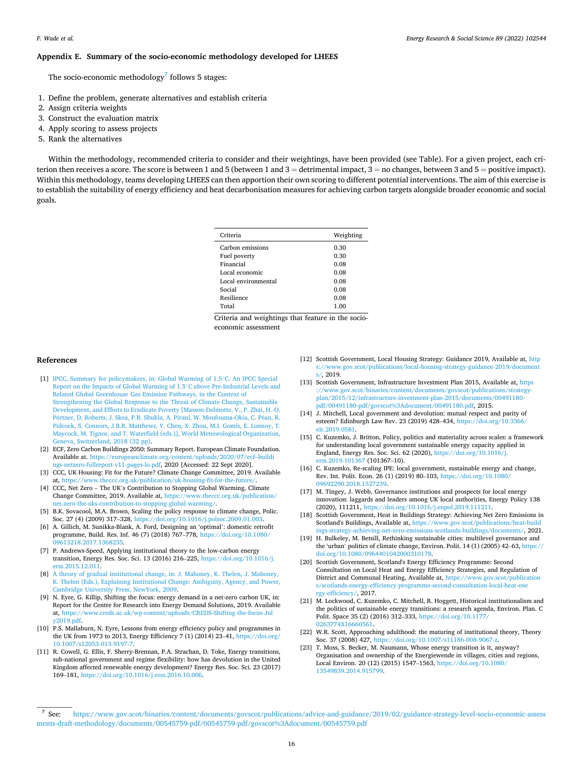#### <span id="page-16-0"></span>**Appendix E. Summary of the socio-economic methodology developed for LHEES**

The socio-economic methodology<sup>7</sup> follows 5 stages:

- 1. Define the problem, generate alternatives and establish criteria
- 2. Assign criteria weights
- 3. Construct the evaluation matrix
- 4. Apply scoring to assess projects
- 5. Rank the alternatives

Within the methodology, recommended criteria to consider and their weightings, have been provided (see Table). For a given project, each criterion then receives a score. The score is between 1 and 5 (between 1 and  $3 =$  detrimental impact,  $3 =$  no changes, between 3 and  $5 =$  positive impact). Within this methodology, teams developing LHEES can then apportion their own scoring to different potential interventions. The aim of this exercise is to establish the suitability of energy efficiency and heat decarbonisation measures for achieving carbon targets alongside broader economic and social goals.

| Criteria            | Weighting |
|---------------------|-----------|
| Carbon emissions    | 0.30      |
| Fuel poverty        | 0.30      |
| Financial           | 0.08      |
| Local economic      | 0.08      |
| Local environmental | 0.08      |
| Social              | 0.08      |
| Resilience          | 0.08      |
| Total               | 1.00      |
|                     |           |

Criteria and weightings that feature in the socioeconomic assessment

#### **References**

- [1] [IPCC, Summary for policymakers, in: Global Warming of 1.5](http://refhub.elsevier.com/S2214-6296(22)00051-2/rf0005)℃. An IPCC Special [Report on the Impacts of Global Warming of 1.5](http://refhub.elsevier.com/S2214-6296(22)00051-2/rf0005)◦C above Pre-Industrial Levels and [Related Global Greenhouse Gas Emission Pathways, in the Context of](http://refhub.elsevier.com/S2214-6296(22)00051-2/rf0005)  [Strengthening the Global Response to the Threat of Climate Change, Sustainable](http://refhub.elsevier.com/S2214-6296(22)00051-2/rf0005)  [Development, and Efforts to Eradicate Poverty \[Masson-Delmotte, V., P. Zhai, H.-O.](http://refhub.elsevier.com/S2214-6296(22)00051-2/rf0005)  Pörtner, [D. Roberts, J. Skea, P.R. Shukla, A. Pirani, W. Moufouma-Okia, C. P](http://refhub.elsevier.com/S2214-6296(22)00051-2/rf0005)éan, R. [Pidcock, S. Connors, J.B.R. Matthews, Y. Chen, X. Zhou, M.I. Gomis, E. Lonnoy, T.](http://refhub.elsevier.com/S2214-6296(22)00051-2/rf0005)  [Maycock, M. Tignor, and T. Waterfield \(eds.\)\], World Meteorological Organization,](http://refhub.elsevier.com/S2214-6296(22)00051-2/rf0005)  [Geneva, Switzerland, 2018 \(32 pp\).](http://refhub.elsevier.com/S2214-6296(22)00051-2/rf0005)
- [2] ECF, Zero Carbon Buildings 2050: Summary Report. European Climate Foundation. Available at. [https://europeanclimate.org/content/uploads/2020/07/ecf–buildi](https://europeanclimate.org/content/uploads/2020/07/ecf--buildings-netzero-fullreport-v11-pages-lo.pdf) [ngs-netzero-fullreport-v11-pages-lo.pdf](https://europeanclimate.org/content/uploads/2020/07/ecf--buildings-netzero-fullreport-v11-pages-lo.pdf), 2020 [Accessed: 22 Sept 2020].
- [3] CCC, UK Housing: Fit for the Future? Climate Change Committee, 2019. Available at,<https://www.theccc.org.uk/publication/uk-housing-fit-for-the-future/>.
- [4] CCC, Net Zero The UK's Contribution to Stopping Global Warming, Climate Change Committee, 2019. Available at, [https://www.theccc.org.uk/publication/](https://www.theccc.org.uk/publication/net-zero-the-uks-contribution-to-stopping-global-warming/)  [net-zero-the-uks-contribution-to-stopping-global-warming/](https://www.theccc.org.uk/publication/net-zero-the-uks-contribution-to-stopping-global-warming/).
- [5] B.K. Sovacool, M.A. Brown, Scaling the policy response to climate change, Polic. Soc. 27 (4) (2009) 317–328,<https://doi.org/10.1016/j.polsoc.2009.01.003>.
- [6] A. Gillich, M. Sunikka-Blank, A. Ford, Designing an 'optimal': domestic retrofit programme, Build. Res. Inf. 46 (7) (2018) 767–778, [https://doi.org/10.1080/](https://doi.org/10.1080/09613218.2017.1368235) [09613218.2017.1368235.](https://doi.org/10.1080/09613218.2017.1368235)
- [7] P. Andrews-Speed, Applying institutional theory to the low-carbon energy transition, Energy Res. Soc. Sci. 13 (2016) 216–225, [https://doi.org/10.1016/j.](https://doi.org/10.1016/j.erss.2015.12.011) [erss.2015.12.011](https://doi.org/10.1016/j.erss.2015.12.011).
- [8] [A theory of gradual institutional change, in: J. Mahoney, K. Thelen, J. Mahoney,](http://refhub.elsevier.com/S2214-6296(22)00051-2/rf0040)  [K. Thelen \(Eds.\), Explaining Institutional Change: Ambiguity, Agency, and Power,](http://refhub.elsevier.com/S2214-6296(22)00051-2/rf0040)  [Cambridge University Press, NewYork, 2009.](http://refhub.elsevier.com/S2214-6296(22)00051-2/rf0040)
- [9] N. Eyre, G. Killip, Shifting the focus: energy demand in a net-zero carbon UK, in: Report for the Centre for Research into Energy Demand Solutions, 2019. Available at, [https://www.creds.ac.uk/wp-content/uploads/CREDS-Shifting-the-focus-Jul](https://www.creds.ac.uk/wp-content/uploads/CREDS-Shifting-the-focus-July2019.pdf)   $v2019.$ pdf.
- [10] P.S. Mallaburn, N. Eyre, Lessons from energy efficiency policy and programmes in the UK from 1973 to 2013, Energy Efficiency 7 (1) (2014) 23–41, [https://doi.org/](https://doi.org/10.1007/s12053-013-9197-7)  [10.1007/s12053-013-9197-7.](https://doi.org/10.1007/s12053-013-9197-7)
- [11] R. Cowell, G. Ellis, F. Sherry-Brennan, P.A. Strachan, D. Toke, Energy transitions, sub-national government and regime flexibility: how has devolution in the United Kingdom affected renewable energy development? Energy Res. Soc. Sci. 23 (2017) 169–181, [https://doi.org/10.1016/j.erss.2016.10.006.](https://doi.org/10.1016/j.erss.2016.10.006)
- [12] Scottish Government, Local Housing Strategy: Guidance 2019, Available at, [http](https://www.gov.scot/publications/local-housing-strategy-guidance-2019/documents/) [s://www.gov.scot/publications/local-housing-strategy-guidance-2019/document](https://www.gov.scot/publications/local-housing-strategy-guidance-2019/documents/)  [s/,](https://www.gov.scot/publications/local-housing-strategy-guidance-2019/documents/) 2019.
- [13] Scottish Government, Infrastructure Investment Plan 2015, Available at, [https](https://www.gov.scot/binaries/content/documents/govscot/publications/strategy-plan/2015/12/infrastructure-investment-plan-2015/documents/00491180-pdf/00491180-pdf/govscot%3Adocument/00491180.pdf) [://www.gov.scot/binaries/content/documents/govscot/publications/strategy](https://www.gov.scot/binaries/content/documents/govscot/publications/strategy-plan/2015/12/infrastructure-investment-plan-2015/documents/00491180-pdf/00491180-pdf/govscot%3Adocument/00491180.pdf)[plan/2015/12/infrastructure-investment-plan-2015/documents/00491180](https://www.gov.scot/binaries/content/documents/govscot/publications/strategy-plan/2015/12/infrastructure-investment-plan-2015/documents/00491180-pdf/00491180-pdf/govscot%3Adocument/00491180.pdf) [pdf/00491180-pdf/govscot%3Adocument/00491180.pdf](https://www.gov.scot/binaries/content/documents/govscot/publications/strategy-plan/2015/12/infrastructure-investment-plan-2015/documents/00491180-pdf/00491180-pdf/govscot%3Adocument/00491180.pdf), 2015.
- [14] J. Mitchell, Local government and devolution: mutual respect and parity of esteem? Edinburgh Law Rev. 23 (2019) 428–434, [https://doi.org/10.3366/](https://doi.org/10.3366/elr.2019.0581)  [elr.2019.0581.](https://doi.org/10.3366/elr.2019.0581)
- [15] C. Kuzemko, J. Britton, Policy, politics and materiality across scales: a framework for understanding local government sustainable energy capacity applied in England, Energy Res. Soc. Sci. 62 (2020), [https://doi.org/10.1016/j.](https://doi.org/10.1016/j.erss.2019.101367) ss.2019.101367 (101367-10).
- [16] C. Kuzemko, Re-scaling IPE: local government, sustainable energy and change, Rev. Int. Polit. Econ. 26 (1) (2019) 80–103, [https://doi.org/10.1080/](https://doi.org/10.1080/09692290.2018.1527239) [09692290.2018.1527239.](https://doi.org/10.1080/09692290.2018.1527239)
- [17] M. Tingey, J. Webb, Governance institutions and prospects for local energy innovation: laggards and leaders among UK local authorities, Energy Policy 138 (2020), 111211, <https://doi.org/10.1016/j.enpol.2019.111211>.
- [18] Scottish Government, Heat in Buildings Strategy: Achieving Net Zero Emissions in Scotland's Buildings, Available at, [https://www.gov.scot/publications/heat-build](https://www.gov.scot/publications/heat-buildings-strategy-achieving-net-zero-emissions-scotlands-buildings/documents/)  [ings-strategy-achieving-net-zero-emissions-scotlands-buildings/documents/](https://www.gov.scot/publications/heat-buildings-strategy-achieving-net-zero-emissions-scotlands-buildings/documents/), 2021.
- [19] H. Bulkeley, M. Betsill, Rethinking sustainable cities: multilevel governance and the 'urban' politics of climate change, Environ. Polit. 14 (1) (2005) 42–63, [https://](https://doi.org/10.1080/0964401042000310178)  [doi.org/10.1080/0964401042000310178](https://doi.org/10.1080/0964401042000310178).
- [20] Scottish Government, Scotland's Energy Efficiency Programme: Second Consultation on Local Heat and Energy Efficiency Strategies, and Regulation of District and Communal Heating, Available at, [https://www.gov.scot/publication](https://www.gov.scot/publications/scotlands-energy-efficiency-programme-second-consultation-local-heat-energy-efficiency/) [s/scotlands-energy-efficiency-programme-second-consultation-local-heat-ene](https://www.gov.scot/publications/scotlands-energy-efficiency-programme-second-consultation-local-heat-energy-efficiency/)  [rgy-efficiency/,](https://www.gov.scot/publications/scotlands-energy-efficiency-programme-second-consultation-local-heat-energy-efficiency/) 2017.
- [21] M. Lockwood, C. Kuzemko, C. Mitchell, R. Hoggett, Historical institutionalism and the politics of sustainable energy transitions: a research agenda, Environ. Plan. C Polit. Space 35 (2) (2016) 312–333, [https://doi.org/10.1177/](https://doi.org/10.1177/0263774X16660561) [0263774X16660561](https://doi.org/10.1177/0263774X16660561).
- [22] W.R. Scott, Approaching adulthood: the maturing of institutional theory, Theory Soc. 37 (2008) 427, [https://doi.org/10.1007/s11186-008-9067-z.](https://doi.org/10.1007/s11186-008-9067-z)
- [23] T. Moss, S. Becker, M. Naumann, Whose energy transition is it, anyway? Organisation and ownership of the Energiewende in villages, cities and regions, Local Environ. 20 (12) (2015) 1547–1563, [https://doi.org/10.1080/](https://doi.org/10.1080/13549839.2014.915799)  [13549839.2014.915799](https://doi.org/10.1080/13549839.2014.915799).

<sup>7</sup> See: https://www.gov.scot/binaries/content/documents/govscot/publications/advice-and-guidance/2019/02/guidance-strategy-level-socio-economic-assess [ments-draft-methodology/documents/00545759-pdf/00545759-pdf/govscot%3Adocument/00545759.pdf](https://www.gov.scot/binaries/content/documents/govscot/publications/advice-and-guidance/2019/02/guidance-strategy-level-socio-economic-assessments-draft-methodology/documents/00545759-pdf/00545759-pdf/govscot%3Adocument/00545759.pdf)